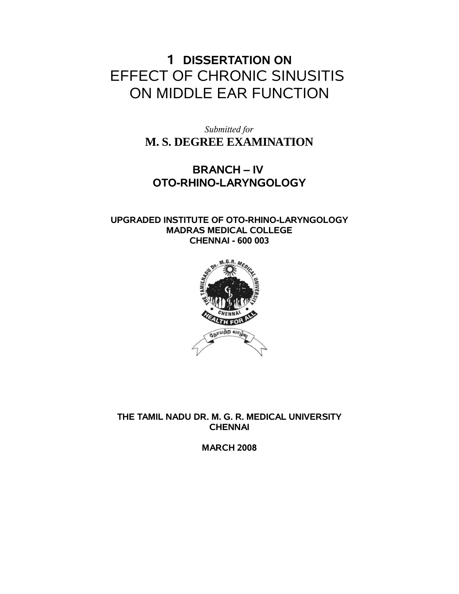## **1 DISSERTATION ON** EFFECT OF CHRONIC SINUSITIS ON MIDDLE EAR FUNCTION

*Submitted for* **M. S. DEGREE EXAMINATION**

## **BRANCH – IV OTO-RHINO-LARYNGOLOGY**

#### **UPGRADED INSTITUTE OF OTO-RHINO-LARYNGOLOGY MADRAS MEDICAL COLLEGE CHENNAI - 600 003**



**THE TAMIL NADU DR. M. G. R. MEDICAL UNIVERSITY CHENNAI**

**MARCH 2008**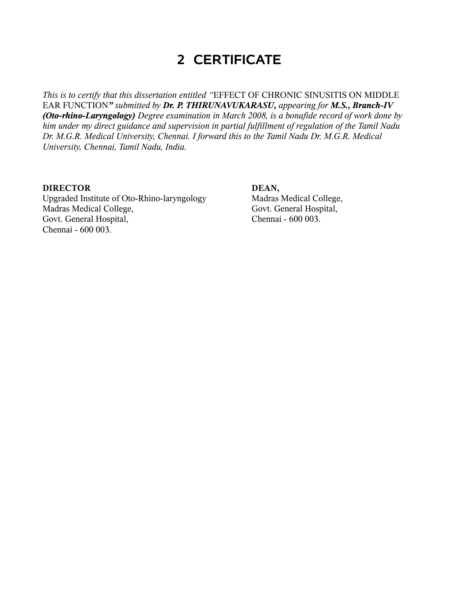## **2 CERTIFICATE**

*This is to certify that this dissertation entitled "*EFFECT OF CHRONIC SINUSITIS ON MIDDLE EAR FUNCTION*" submitted by Dr. P. THIRUNAVUKARASU, appearing for M.S., Branch-IV (Oto-rhino-Laryngology) Degree examination in March 2008, is a bonafide record of work done by him under my direct guidance and supervision in partial fulfillment of regulation of the Tamil Nadu Dr. M.G.R. Medical University, Chennai. I forward this to the Tamil Nadu Dr. M.G.R. Medical University, Chennai, Tamil Nadu, India.*

#### **DIRECTOR DEAN,**

Upgraded Institute of Oto-Rhino-laryngology Madras Medical College, Madras Medical College, Govt. General Hospital, Govt. General Hospital, Chennai - 600 003. Chennai - 600 003.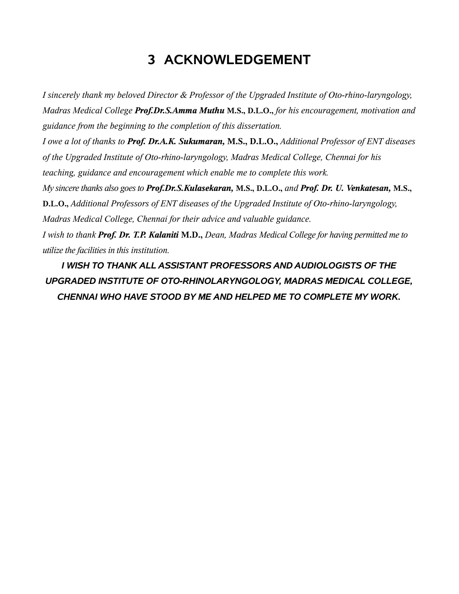# **3 ACKNOWLEDGEMENT**

*I sincerely thank my beloved Director & Professor of the Upgraded Institute of Oto-rhino-laryngology, Madras Medical College Prof.Dr.S.Amma Muthu* **M.S., D.L.O.,** *for his encouragement, motivation and guidance from the beginning to the completion of this dissertation. I owe a lot of thanks to Prof. Dr.A.K. Sukumaran,* **M.S., D.L.O.,** *Additional Professor of ENT diseases of the Upgraded Institute of Oto-rhino-laryngology, Madras Medical College, Chennai for his teaching, guidance and encouragement which enable me to complete this work. My sincere thanks also goes to Prof.Dr.S.Kulasekaran,* **M.S., D.L.O.,** *and Prof. Dr. U. Venkatesan,* **M.S., D.L.O.,** *Additional Professors of ENT diseases of the Upgraded Institute of Oto-rhino-laryngology, Madras Medical College, Chennai for their advice and valuable guidance. I wish to thank Prof. Dr. T.P. Kalaniti* **M.D.,** *Dean, Madras Medical College for having permitted me to utilize the facilities in this institution.*

*I WISH TO THANK ALL ASSISTANT PROFESSORS AND AUDIOLOGISTS OF THE UPGRADED INSTITUTE OF OTO-RHINOLARYNGOLOGY, MADRAS MEDICAL COLLEGE, CHENNAI WHO HAVE STOOD BY ME AND HELPED ME TO COMPLETE MY WORK.*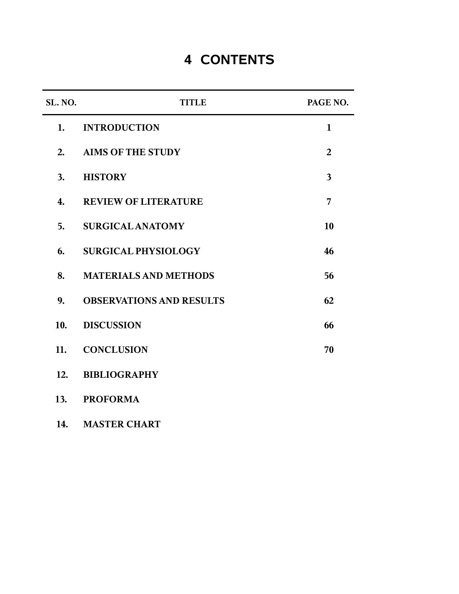# **4 CONTENTS**

| SL. NO. | <b>TITLE</b>                    | PAGE NO.                |
|---------|---------------------------------|-------------------------|
| 1.      | <b>INTRODUCTION</b>             | $\mathbf{1}$            |
| 2.      | <b>AIMS OF THE STUDY</b>        | $\overline{2}$          |
| 3.      | <b>HISTORY</b>                  | $\overline{\mathbf{3}}$ |
| 4.      | <b>REVIEW OF LITERATURE</b>     | 7                       |
| 5.      | <b>SURGICAL ANATOMY</b>         | 10                      |
| 6.      | <b>SURGICAL PHYSIOLOGY</b>      | 46                      |
| 8.      | <b>MATERIALS AND METHODS</b>    | 56                      |
| 9.      | <b>OBSERVATIONS AND RESULTS</b> | 62                      |
| 10.     | <b>DISCUSSION</b>               | 66                      |
| 11.     | <b>CONCLUSION</b>               | 70                      |
| 12.     | <b>BIBLIOGRAPHY</b>             |                         |
| 13.     | <b>PROFORMA</b>                 |                         |

**14. MASTER CHART**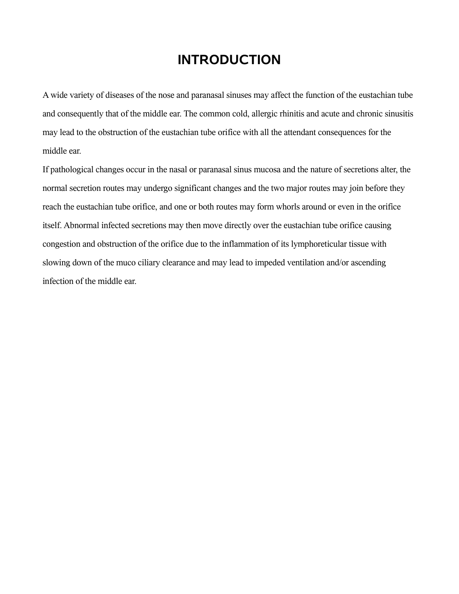## **INTRODUCTION**

A wide variety of diseases of the nose and paranasal sinuses may affect the function of the eustachian tube and consequently that of the middle ear. The common cold, allergic rhinitis and acute and chronic sinusitis may lead to the obstruction of the eustachian tube orifice with all the attendant consequences for the middle ear.

If pathological changes occur in the nasal or paranasal sinus mucosa and the nature of secretions alter, the normal secretion routes may undergo significant changes and the two major routes may join before they reach the eustachian tube orifice, and one or both routes may form whorls around or even in the orifice itself. Abnormal infected secretions may then move directly over the eustachian tube orifice causing congestion and obstruction of the orifice due to the inflammation of its lymphoreticular tissue with slowing down of the muco ciliary clearance and may lead to impeded ventilation and/or ascending infection of the middle ear.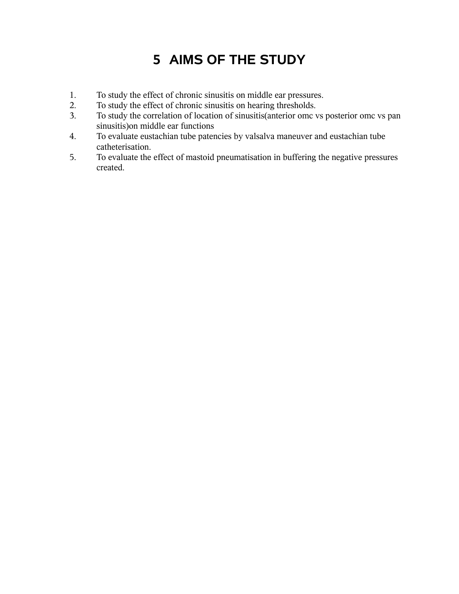# **5 AIMS OF THE STUDY**

- 1. To study the effect of chronic sinusitis on middle ear pressures.
- 2. To study the effect of chronic sinusitis on hearing thresholds.
- 3. To study the correlation of location of sinusitis(anterior omc vs posterior omc vs pan sinusitis)on middle ear functions
- 4. To evaluate eustachian tube patencies by valsalva maneuver and eustachian tube catheterisation.
- 5. To evaluate the effect of mastoid pneumatisation in buffering the negative pressures created.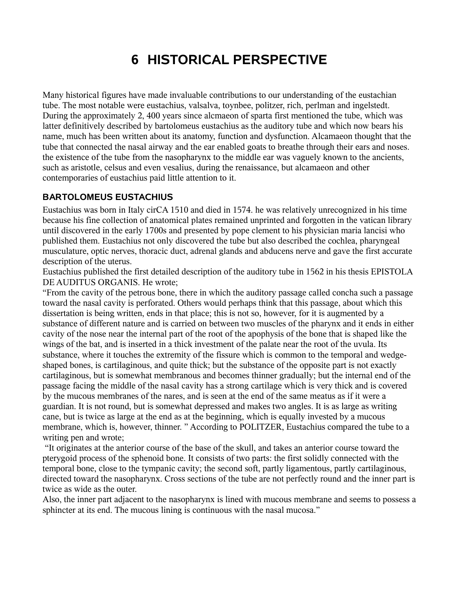# **6 HISTORICAL PERSPECTIVE**

Many historical figures have made invaluable contributions to our understanding of the eustachian tube. The most notable were eustachius, valsalva, toynbee, politzer, rich, perlman and ingelstedt. During the approximately 2, 400 years since alcmaeon of sparta first mentioned the tube, which was latter definitively described by bartolomeus eustachius as the auditory tube and which now bears his name, much has been written about its anatomy, function and dysfunction. Alcamaeon thought that the tube that connected the nasal airway and the ear enabled goats to breathe through their ears and noses. the existence of the tube from the nasopharynx to the middle ear was vaguely known to the ancients, such as aristotle, celsus and even vesalius, during the renaissance, but alcamaeon and other contemporaries of eustachius paid little attention to it.

#### **BARTOLOMEUS EUSTACHIUS**

Eustachius was born in Italy cirCA 1510 and died in 1574. he was relatively unrecognized in his time because his fine collection of anatomical plates remained unprinted and forgotten in the vatican library until discovered in the early 1700s and presented by pope clement to his physician maria lancisi who published them. Eustachius not only discovered the tube but also described the cochlea, pharyngeal musculature, optic nerves, thoracic duct, adrenal glands and abducens nerve and gave the first accurate description of the uterus.

Eustachius published the first detailed description of the auditory tube in 1562 in his thesis EPISTOLA DE AUDITUS ORGANIS. He wrote;

"From the cavity of the petrous bone, there in which the auditory passage called concha such a passage toward the nasal cavity is perforated. Others would perhaps think that this passage, about which this dissertation is being written, ends in that place; this is not so, however, for it is augmented by a substance of different nature and is carried on between two muscles of the pharynx and it ends in either cavity of the nose near the internal part of the root of the apophysis of the bone that is shaped like the wings of the bat, and is inserted in a thick investment of the palate near the root of the uvula. Its substance, where it touches the extremity of the fissure which is common to the temporal and wedgeshaped bones, is cartilaginous, and quite thick; but the substance of the opposite part is not exactly cartilaginous, but is somewhat membranous and becomes thinner gradually; but the internal end of the passage facing the middle of the nasal cavity has a strong cartilage which is very thick and is covered by the mucous membranes of the nares, and is seen at the end of the same meatus as if it were a guardian. It is not round, but is somewhat depressed and makes two angles. It is as large as writing cane, but is twice as large at the end as at the beginning, which is equally invested by a mucous membrane, which is, however, thinner. " According to POLITZER, Eustachius compared the tube to a writing pen and wrote;

 "It originates at the anterior course of the base of the skull, and takes an anterior course toward the pterygoid process of the sphenoid bone. It consists of two parts: the first solidly connected with the temporal bone, close to the tympanic cavity; the second soft, partly ligamentous, partly cartilaginous, directed toward the nasopharynx. Cross sections of the tube are not perfectly round and the inner part is twice as wide as the outer.

Also, the inner part adjacent to the nasopharynx is lined with mucous membrane and seems to possess a sphincter at its end. The mucous lining is continuous with the nasal mucosa."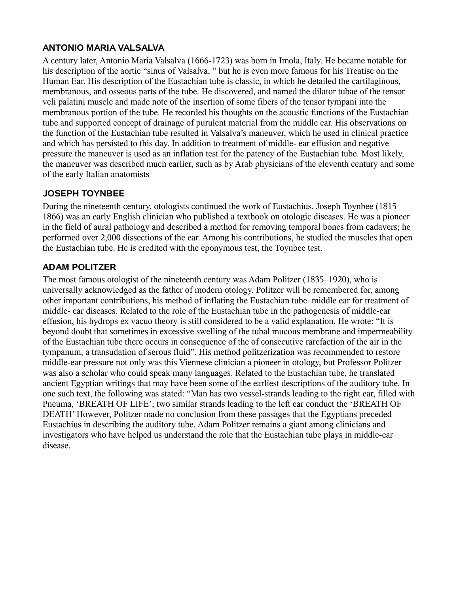#### **ANTONIO MARIA VALSALVA**

A century later, Antonio Maria Valsalva (1666-1723) was born in Imola, Italy. He became notable for his description of the aortic "sinus of Valsalva, " but he is even more famous for his Treatise on the Human Ear. His description of the Eustachian tube is classic, in which he detailed the cartilaginous, membranous, and osseous parts of the tube. He discovered, and named the dilator tubae of the tensor veli palatini muscle and made note of the insertion of some fibers of the tensor tympani into the membranous portion of the tube. He recorded his thoughts on the acoustic functions of the Eustachian tube and supported concept of drainage of purulent material from the middle ear. His observations on the function of the Eustachian tube resulted in Valsalva's maneuver, which he used in clinical practice and which has persisted to this day. In addition to treatment of middle- ear effusion and negative pressure the maneuver is used as an inflation test for the patency of the Eustachian tube. Most likely, the maneuver was described much earlier, such as by Arab physicians of the eleventh century and some of the early Italian anatomists

### **JOSEPH TOYNBEE**

During the nineteenth century, otologists continued the work of Eustachius. Joseph Toynbee (1815– 1866) was an early English clinician who published a textbook on otologic diseases. He was a pioneer in the field of aural pathology and described a method for removing temporal bones from cadavers; he performed over 2,000 dissections of the ear. Among his contributions, he studied the muscles that open the Eustachian tube. He is credited with the eponymous test, the Toynbee test.

#### **ADAM POLITZER**

The most famous otologist of the nineteenth century was Adam Politzer (1835–1920), who is universally acknowledged as the father of modern otology. Politzer will be remembered for, among other important contributions, his method of inflating the Eustachian tube–middle ear for treatment of middle- ear diseases. Related to the role of the Eustachian tube in the pathogenesis of middle-ear effusion, his hydrops ex vacuo theory is still considered to be a valid explanation. He wrote: "It is beyond doubt that sometimes in excessive swelling of the tubal mucous membrane and impermeability of the Eustachian tube there occurs in consequence of the of consecutive rarefaction of the air in the tympanum, a transudation of serous fluid". His method politzerization was recommended to restore middle-ear pressure not only was this Viennese clinician a pioneer in otology, but Professor Politzer was also a scholar who could speak many languages. Related to the Eustachian tube, he translated ancient Egyptian writings that may have been some of the earliest descriptions of the auditory tube. In one such text, the following was stated: "Man has two vessel-strands leading to the right ear, filled with Pneuma, 'BREATH OF LIFE'; two similar strands leading to the left ear conduct the 'BREATH OF DEATH' However, Politzer made no conclusion from these passages that the Egyptians preceded Eustachius in describing the auditory tube. Adam Politzer remains a giant among clinicians and investigators who have helped us understand the role that the Eustachian tube plays in middle-ear disease.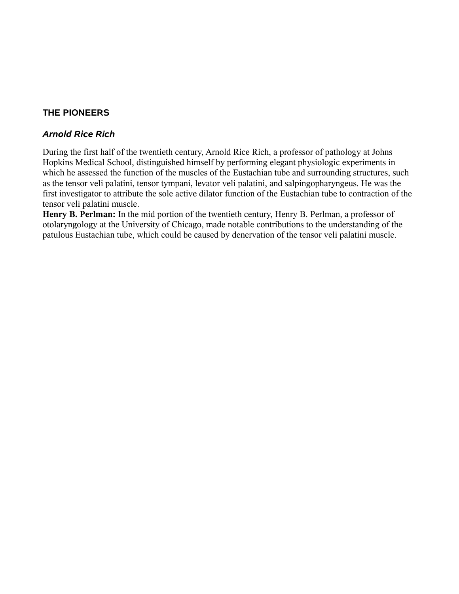### **THE PIONEERS**

#### *Arnold Rice Rich*

During the first half of the twentieth century, Arnold Rice Rich, a professor of pathology at Johns Hopkins Medical School, distinguished himself by performing elegant physiologic experiments in which he assessed the function of the muscles of the Eustachian tube and surrounding structures, such as the tensor veli palatini, tensor tympani, levator veli palatini, and salpingopharyngeus. He was the first investigator to attribute the sole active dilator function of the Eustachian tube to contraction of the tensor veli palatini muscle.

**Henry B. Perlman:** In the mid portion of the twentieth century, Henry B. Perlman, a professor of otolaryngology at the University of Chicago, made notable contributions to the understanding of the patulous Eustachian tube, which could be caused by denervation of the tensor veli palatini muscle.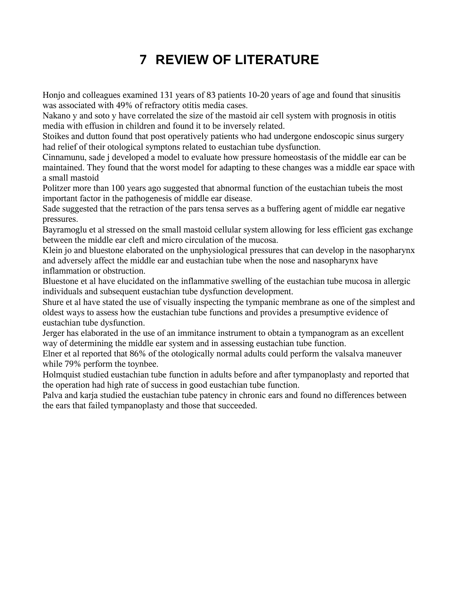# **7 REVIEW OF LITERATURE**

Honjo and colleagues examined 131 years of 83 patients 10-20 years of age and found that sinusitis was associated with 49% of refractory otitis media cases.

Nakano y and soto y have correlated the size of the mastoid air cell system with prognosis in otitis media with effusion in children and found it to be inversely related.

Stoikes and dutton found that post operatively patients who had undergone endoscopic sinus surgery had relief of their otological symptons related to eustachian tube dysfunction.

Cinnamunu, sade j developed a model to evaluate how pressure homeostasis of the middle ear can be maintained. They found that the worst model for adapting to these changes was a middle ear space with a small mastoid

Politzer more than 100 years ago suggested that abnormal function of the eustachian tubeis the most important factor in the pathogenesis of middle ear disease.

Sade suggested that the retraction of the pars tensa serves as a buffering agent of middle ear negative pressures.

Bayramoglu et al stressed on the small mastoid cellular system allowing for less efficient gas exchange between the middle ear cleft and micro circulation of the mucosa.

Klein jo and bluestone elaborated on the unphysiological pressures that can develop in the nasopharynx and adversely affect the middle ear and eustachian tube when the nose and nasopharynx have inflammation or obstruction.

Bluestone et al have elucidated on the inflammative swelling of the eustachian tube mucosa in allergic individuals and subsequent eustachian tube dysfunction development.

Shure et al have stated the use of visually inspecting the tympanic membrane as one of the simplest and oldest ways to assess how the eustachian tube functions and provides a presumptive evidence of eustachian tube dysfunction.

Jerger has elaborated in the use of an immitance instrument to obtain a tympanogram as an excellent way of determining the middle ear system and in assessing eustachian tube function.

Elner et al reported that 86% of the otologically normal adults could perform the valsalva maneuver while 79% perform the toynbee.

Holmquist studied eustachian tube function in adults before and after tympanoplasty and reported that the operation had high rate of success in good eustachian tube function.

Palva and karja studied the eustachian tube patency in chronic ears and found no differences between the ears that failed tympanoplasty and those that succeeded.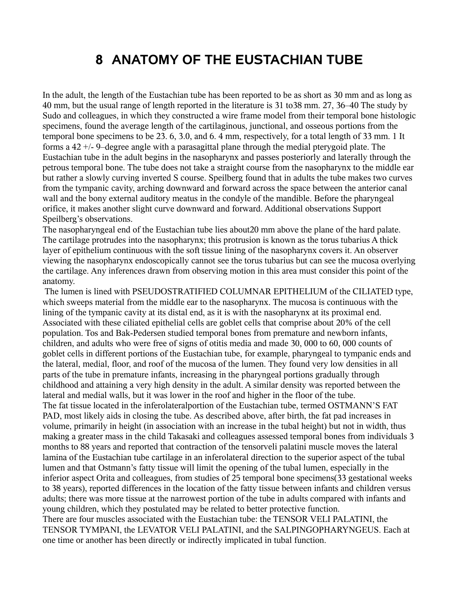## **8 ANATOMY OF THE EUSTACHIAN TUBE**

In the adult, the length of the Eustachian tube has been reported to be as short as 30 mm and as long as 40 mm, but the usual range of length reported in the literature is 31 to38 mm. 27, 36–40 The study by Sudo and colleagues, in which they constructed a wire frame model from their temporal bone histologic specimens, found the average length of the cartilaginous, junctional, and osseous portions from the temporal bone specimens to be 23. 6, 3.0, and 6. 4 mm, respectively, for a total length of 33 mm. 1 It forms a 42 +/- 9–degree angle with a parasagittal plane through the medial pterygoid plate. The Eustachian tube in the adult begins in the nasopharynx and passes posteriorly and laterally through the petrous temporal bone. The tube does not take a straight course from the nasopharynx to the middle ear but rather a slowly curving inverted S course. Speilberg found that in adults the tube makes two curves from the tympanic cavity, arching downward and forward across the space between the anterior canal wall and the bony external auditory meatus in the condyle of the mandible. Before the pharyngeal orifice, it makes another slight curve downward and forward. Additional observations Support Speilberg's observations.

The nasopharyngeal end of the Eustachian tube lies about20 mm above the plane of the hard palate. The cartilage protrudes into the nasopharynx; this protrusion is known as the torus tubarius A thick layer of epithelium continuous with the soft tissue lining of the nasopharynx covers it. An observer viewing the nasopharynx endoscopically cannot see the torus tubarius but can see the mucosa overlying the cartilage. Any inferences drawn from observing motion in this area must consider this point of the anatomy.

 The lumen is lined with PSEUDOSTRATIFIED COLUMNAR EPITHELIUM of the CILIATED type, which sweeps material from the middle ear to the nasopharynx. The mucosa is continuous with the lining of the tympanic cavity at its distal end, as it is with the nasopharynx at its proximal end. Associated with these ciliated epithelial cells are goblet cells that comprise about 20% of the cell population. Tos and Bak-Pedersen studied temporal bones from premature and newborn infants, children, and adults who were free of signs of otitis media and made 30, 000 to 60, 000 counts of goblet cells in different portions of the Eustachian tube, for example, pharyngeal to tympanic ends and the lateral, medial, floor, and roof of the mucosa of the lumen. They found very low densities in all parts of the tube in premature infants, increasing in the pharyngeal portions gradually through childhood and attaining a very high density in the adult. A similar density was reported between the lateral and medial walls, but it was lower in the roof and higher in the floor of the tube. The fat tissue located in the inferolateralportion of the Eustachian tube, termed OSTMANN'S FAT PAD, most likely aids in closing the tube. As described above, after birth, the fat pad increases in volume, primarily in height (in association with an increase in the tubal height) but not in width, thus making a greater mass in the child Takasaki and colleagues assessed temporal bones from individuals 3 months to 88 years and reported that contraction of the tensorveli palatini muscle moves the lateral lamina of the Eustachian tube cartilage in an inferolateral direction to the superior aspect of the tubal lumen and that Ostmann's fatty tissue will limit the opening of the tubal lumen, especially in the inferior aspect Orita and colleagues, from studies of 25 temporal bone specimens(33 gestational weeks to 38 years), reported differences in the location of the fatty tissue between infants and children versus adults; there was more tissue at the narrowest portion of the tube in adults compared with infants and young children, which they postulated may be related to better protective function. There are four muscles associated with the Eustachian tube: the TENSOR VELI PALATINI, the TENSOR TYMPANI, the LEVATOR VELI PALATINI, and the SALPINGOPHARYNGEUS. Each at one time or another has been directly or indirectly implicated in tubal function.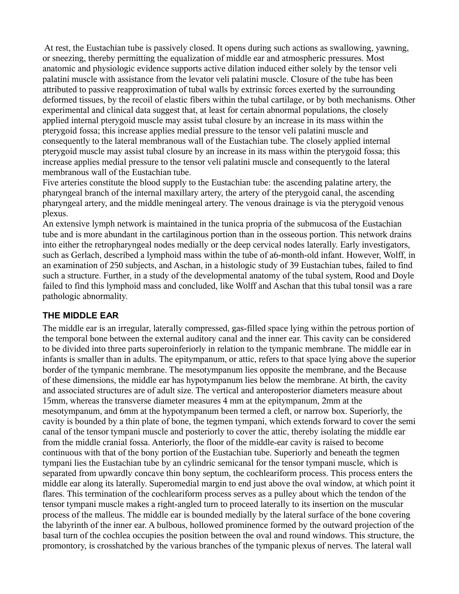At rest, the Eustachian tube is passively closed. It opens during such actions as swallowing, yawning, or sneezing, thereby permitting the equalization of middle ear and atmospheric pressures. Most anatomic and physiologic evidence supports active dilation induced either solely by the tensor veli palatini muscle with assistance from the levator veli palatini muscle. Closure of the tube has been attributed to passive reapproximation of tubal walls by extrinsic forces exerted by the surrounding deformed tissues, by the recoil of elastic fibers within the tubal cartilage, or by both mechanisms. Other experimental and clinical data suggest that, at least for certain abnormal populations, the closely applied internal pterygoid muscle may assist tubal closure by an increase in its mass within the pterygoid fossa; this increase applies medial pressure to the tensor veli palatini muscle and consequently to the lateral membranous wall of the Eustachian tube. The closely applied internal pterygoid muscle may assist tubal closure by an increase in its mass within the pterygoid fossa; this increase applies medial pressure to the tensor veli palatini muscle and consequently to the lateral membranous wall of the Eustachian tube.

Five arteries constitute the blood supply to the Eustachian tube: the ascending palatine artery, the pharyngeal branch of the internal maxillary artery, the artery of the pterygoid canal, the ascending pharyngeal artery, and the middle meningeal artery. The venous drainage is via the pterygoid venous plexus.

An extensive lymph network is maintained in the tunica propria of the submucosa of the Eustachian tube and is more abundant in the cartilaginous portion than in the osseous portion. This network drains into either the retropharyngeal nodes medially or the deep cervical nodes laterally. Early investigators, such as Gerlach, described a lymphoid mass within the tube of a6-month-old infant. However, Wolff, in an examination of 250 subjects, and Aschan, in a histologic study of 39 Eustachian tubes, failed to find such a structure. Further, in a study of the developmental anatomy of the tubal system, Rood and Doyle failed to find this lymphoid mass and concluded, like Wolff and Aschan that this tubal tonsil was a rare pathologic abnormality.

#### **THE MIDDLE EAR**

The middle ear is an irregular, laterally compressed, gas-filled space lying within the petrous portion of the temporal bone between the external auditory canal and the inner ear. This cavity can be considered to be divided into three parts superoinferiorly in relation to the tympanic membrane. The middle ear in infants is smaller than in adults. The epitympanum, or attic, refers to that space lying above the superior border of the tympanic membrane. The mesotympanum lies opposite the membrane, and the Because of these dimensions, the middle ear has hypotympanum lies below the membrane. At birth, the cavity and associated structures are of adult size. The vertical and anteroposterior diameters measure about 15mm, whereas the transverse diameter measures 4 mm at the epitympanum, 2mm at the mesotympanum, and 6mm at the hypotympanum been termed a cleft, or narrow box. Superiorly, the cavity is bounded by a thin plate of bone, the tegmen tympani, which extends forward to cover the semi canal of the tensor tympani muscle and posteriorly to cover the attic, thereby isolating the middle ear from the middle cranial fossa. Anteriorly, the floor of the middle-ear cavity is raised to become continuous with that of the bony portion of the Eustachian tube. Superiorly and beneath the tegmen tympani lies the Eustachian tube by an cylindric semicanal for the tensor tympani muscle, which is separated from upwardly concave thin bony septum, the cochleariform process. This process enters the middle ear along its laterally. Superomedial margin to end just above the oval window, at which point it flares. This termination of the cochleariform process serves as a pulley about which the tendon of the tensor tympani muscle makes a right-angled turn to proceed laterally to its insertion on the muscular process of the malleus. The middle ear is bounded medially by the lateral surface of the bone covering the labyrinth of the inner ear. A bulbous, hollowed prominence formed by the outward projection of the basal turn of the cochlea occupies the position between the oval and round windows. This structure, the promontory, is crosshatched by the various branches of the tympanic plexus of nerves. The lateral wall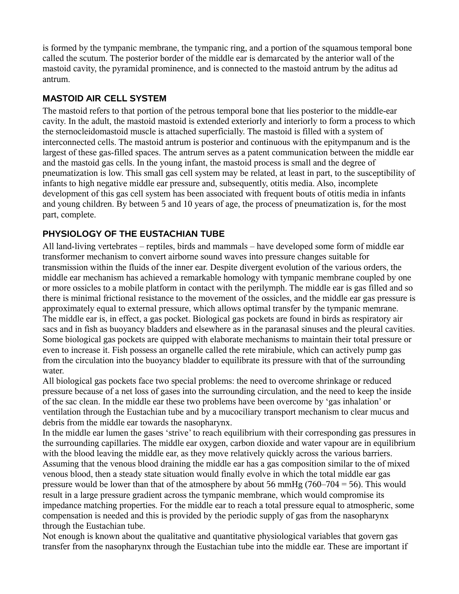is formed by the tympanic membrane, the tympanic ring, and a portion of the squamous temporal bone called the scutum. The posterior border of the middle ear is demarcated by the anterior wall of the mastoid cavity, the pyramidal prominence, and is connected to the mastoid antrum by the aditus ad antrum.

### **MASTOID AIR CELL SYSTEM**

The mastoid refers to that portion of the petrous temporal bone that lies posterior to the middle-ear cavity. In the adult, the mastoid mastoid is extended exteriorly and interiorly to form a process to which the sternocleidomastoid muscle is attached superficially. The mastoid is filled with a system of interconnected cells. The mastoid antrum is posterior and continuous with the epitympanum and is the largest of these gas-filled spaces. The antrum serves as a patent communication between the middle ear and the mastoid gas cells. In the young infant, the mastoid process is small and the degree of pneumatization is low. This small gas cell system may be related, at least in part, to the susceptibility of infants to high negative middle ear pressure and, subsequently, otitis media. Also, incomplete development of this gas cell system has been associated with frequent bouts of otitis media in infants and young children. By between 5 and 10 years of age, the process of pneumatization is, for the most part, complete.

## **PHYSIOLOGY OF THE EUSTACHIAN TUBE**

All land-living vertebrates – reptiles, birds and mammals – have developed some form of middle ear transformer mechanism to convert airborne sound waves into pressure changes suitable for transmission within the fluids of the inner ear. Despite divergent evolution of the various orders, the middle ear mechanism has achieved a remarkable homology with tympanic membrane coupled by one or more ossicles to a mobile platform in contact with the perilymph. The middle ear is gas filled and so there is minimal frictional resistance to the movement of the ossicles, and the middle ear gas pressure is approximately equal to external pressure, which allows optimal transfer by the tympanic memrane. The middle ear is, in effect, a gas pocket. Biological gas pockets are found in birds as respiratory air sacs and in fish as buoyancy bladders and elsewhere as in the paranasal sinuses and the pleural cavities. Some biological gas pockets are quipped with elaborate mechanisms to maintain their total pressure or even to increase it. Fish possess an organelle called the rete mirabiule, which can actively pump gas from the circulation into the buoyancy bladder to equilibrate its pressure with that of the surrounding water.

All biological gas pockets face two special problems: the need to overcome shrinkage or reduced pressure because of a net loss of gases into the surrounding circulation, and the need to keep the inside of the sac clean. In the middle ear these two problems have been overcome by 'gas inhalation' or ventilation through the Eustachian tube and by a mucociliary transport mechanism to clear mucus and debris from the middle ear towards the nasopharynx.

In the middle ear lumen the gases 'strive' to reach equilibrium with their corresponding gas pressures in the surrounding capillaries. The middle ear oxygen, carbon dioxide and water vapour are in equilibrium with the blood leaving the middle ear, as they move relatively quickly across the various barriers. Assuming that the venous blood draining the middle ear has a gas composition similar to the of mixed venous blood, then a steady state situation would finally evolve in which the total middle ear gas pressure would be lower than that of the atmosphere by about 56 mmHg (760–704 = 56). This would result in a large pressure gradient across the tympanic membrane, which would compromise its impedance matching properties. For the middle ear to reach a total pressure equal to atmospheric, some compensation is needed and this is provided by the periodic supply of gas from the nasopharynx through the Eustachian tube.

Not enough is known about the qualitative and quantitative physiological variables that govern gas transfer from the nasopharynx through the Eustachian tube into the middle ear. These are important if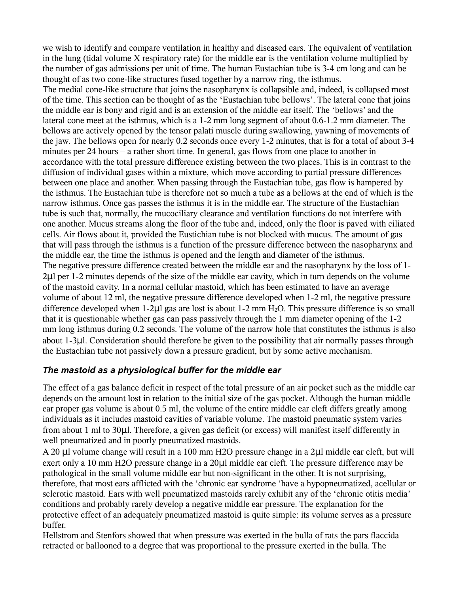we wish to identify and compare ventilation in healthy and diseased ears. The equivalent of ventilation in the lung (tidal volume X respiratory rate) for the middle ear is the ventilation volume multiplied by the number of gas admissions per unit of time. The human Eustachian tube is 3-4 cm long and can be thought of as two cone-like structures fused together by a narrow ring, the isthmus.

The medial cone-like structure that joins the nasopharynx is collapsible and, indeed, is collapsed most of the time. This section can be thought of as the 'Eustachian tube bellows'. The lateral cone that joins the middle ear is bony and rigid and is an extension of the middle ear itself. The 'bellows' and the lateral cone meet at the isthmus, which is a 1-2 mm long segment of about 0.6-1.2 mm diameter. The bellows are actively opened by the tensor palati muscle during swallowing, yawning of movements of the jaw. The bellows open for nearly 0.2 seconds once every 1-2 minutes, that is for a total of about 3-4 minutes per 24 hours – a rather short time. In general, gas flows from one place to another in accordance with the total pressure difference existing between the two places. This is in contrast to the diffusion of individual gases within a mixture, which move according to partial pressure differences between one place and another. When passing through the Eustachian tube, gas flow is hampered by the isthmus. The Eustachian tube is therefore not so much a tube as a bellows at the end of which is the narrow isthmus. Once gas passes the isthmus it is in the middle ear. The structure of the Eustachian tube is such that, normally, the mucociliary clearance and ventilation functions do not interfere with one another. Mucus streams along the floor of the tube and, indeed, only the floor is paved with ciliated cells. Air flows about it, provided the Eustichian tube is not blocked with mucus. The amount of gas that will pass through the isthmus is a function of the pressure difference between the nasopharynx and the middle ear, the time the isthmus is opened and the length and diameter of the isthmus. The negative pressure difference created between the middle ear and the nasopharynx by the loss of 1- 2µl per 1-2 minutes depends of the size of the middle ear cavity, which in turn depends on the volume of the mastoid cavity. In a normal cellular mastoid, which has been estimated to have an average volume of about 12 ml, the negative pressure difference developed when 1-2 ml, the negative pressure difference developed when  $1-2\mu l$  gas are lost is about  $1-2$  mm  $H_2O$ . This pressure difference is so small that it is questionable whether gas can pass passively through the 1 mm diameter opening of the 1-2 mm long isthmus during 0.2 seconds. The volume of the narrow hole that constitutes the isthmus is also about 1-3µl. Consideration should therefore be given to the possibility that air normally passes through the Eustachian tube not passively down a pressure gradient, but by some active mechanism.

### *The mastoid as a physiological buffer for the middle ear*

The effect of a gas balance deficit in respect of the total pressure of an air pocket such as the middle ear depends on the amount lost in relation to the initial size of the gas pocket. Although the human middle ear proper gas volume is about 0.5 ml, the volume of the entire middle ear cleft differs greatly among individuals as it includes mastoid cavities of variable volume. The mastoid pneumatic system varies from about 1 ml to 30µl. Therefore, a given gas deficit (or excess) will manifest itself differently in well pneumatized and in poorly pneumatized mastoids.

A 20 µl volume change will result in a 100 mm H2O pressure change in a 2µl middle ear cleft, but will exert only a 10 mm H2O pressure change in a 20µl middle ear cleft. The pressure difference may be pathological in the small volume middle ear but non-significant in the other. It is not surprising, therefore, that most ears afflicted with the 'chronic ear syndrome 'have a hypopneumatized, acellular or sclerotic mastoid. Ears with well pneumatized mastoids rarely exhibit any of the 'chronic otitis media' conditions and probably rarely develop a negative middle ear pressure. The explanation for the protective effect of an adequately pneumatized mastoid is quite simple: its volume serves as a pressure buffer.

Hellstrom and Stenfors showed that when pressure was exerted in the bulla of rats the pars flaccida retracted or ballooned to a degree that was proportional to the pressure exerted in the bulla. The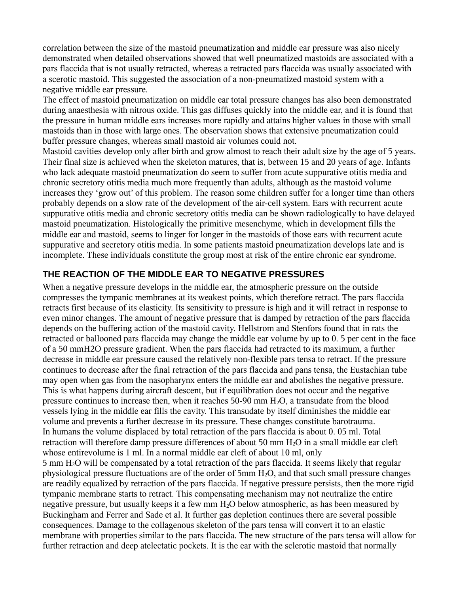correlation between the size of the mastoid pneumatization and middle ear pressure was also nicely demonstrated when detailed observations showed that well pneumatized mastoids are associated with a pars flaccida that is not usually retracted, whereas a retracted pars flaccida was usually associated with a scerotic mastoid. This suggested the association of a non-pneumatized mastoid system with a negative middle ear pressure.

The effect of mastoid pneumatization on middle ear total pressure changes has also been demonstrated during anaesthesia with nitrous oxide. This gas diffuses quickly into the middle ear, and it is found that the pressure in human middle ears increases more rapidly and attains higher values in those with small mastoids than in those with large ones. The observation shows that extensive pneumatization could buffer pressure changes, whereas small mastoid air volumes could not.

Mastoid cavities develop only after birth and grow almost to reach their adult size by the age of 5 years. Their final size is achieved when the skeleton matures, that is, between 15 and 20 years of age. Infants who lack adequate mastoid pneumatization do seem to suffer from acute suppurative otitis media and chronic secretory otitis media much more frequently than adults, although as the mastoid volume increases they 'grow out' of this problem. The reason some children suffer for a longer time than others probably depends on a slow rate of the development of the air-cell system. Ears with recurrent acute suppurative otitis media and chronic secretory otitis media can be shown radiologically to have delayed mastoid pneumatization. Histologically the primitive mesenchyme, which in development fills the middle ear and mastoid, seems to linger for longer in the mastoids of those ears with recurrent acute suppurative and secretory otitis media. In some patients mastoid pneumatization develops late and is incomplete. These individuals constitute the group most at risk of the entire chronic ear syndrome.

#### **THE REACTION OF THE MIDDLE EAR TO NEGATIVE PRESSURES**

When a negative pressure develops in the middle ear, the atmospheric pressure on the outside compresses the tympanic membranes at its weakest points, which therefore retract. The pars flaccida retracts first because of its elasticity. Its sensitivity to pressure is high and it will retract in response to even minor changes. The amount of negative pressure that is damped by retraction of the pars flaccida depends on the buffering action of the mastoid cavity. Hellstrom and Stenfors found that in rats the retracted or ballooned pars flaccida may change the middle ear volume by up to 0. 5 per cent in the face of a 50 mmH2O pressure gradient. When the pars flaccida had retracted to its maximum, a further decrease in middle ear pressure caused the relatively non-flexible pars tensa to retract. If the pressure continues to decrease after the final retraction of the pars flaccida and pans tensa, the Eustachian tube may open when gas from the nasopharynx enters the middle ear and abolishes the negative pressure. This is what happens during aircraft descent, but if equilibration does not occur and the negative pressure continues to increase then, when it reaches  $50-90$  mm  $H_2O$ , a transudate from the blood vessels lying in the middle ear fills the cavity. This transudate by itself diminishes the middle ear volume and prevents a further decrease in its pressure. These changes constitute barotrauma. In humans the volume displaced by total retraction of the pars flaccida is about 0. 05 ml. Total retraction will therefore damp pressure differences of about 50 mm  $H_2O$  in a small middle ear cleft whose entirevolume is 1 ml. In a normal middle ear cleft of about 10 ml, only 5 mm H2O will be compensated by a total retraction of the pars flaccida. It seems likely that regular physiological pressure fluctuations are of the order of 5mm H2O, and that such small pressure changes are readily equalized by retraction of the pars flaccida. If negative pressure persists, then the more rigid tympanic membrane starts to retract. This compensating mechanism may not neutralize the entire negative pressure, but usually keeps it a few mm H<sub>2</sub>O below atmospheric, as has been measured by Buckingham and Ferrer and Sade et al. It further gas depletion continues there are several possible consequences. Damage to the collagenous skeleton of the pars tensa will convert it to an elastic membrane with properties similar to the pars flaccida. The new structure of the pars tensa will allow for further retraction and deep atelectatic pockets. It is the ear with the sclerotic mastoid that normally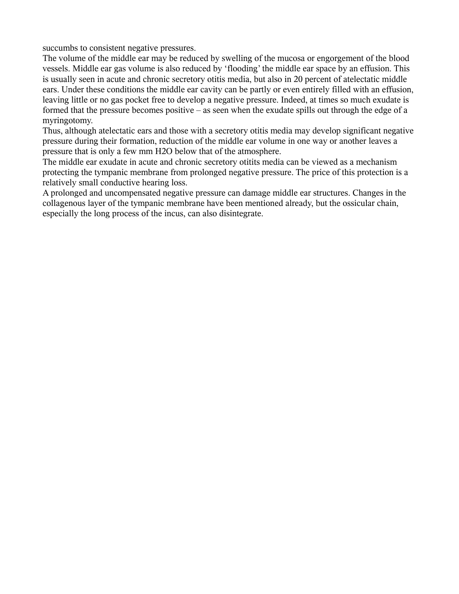succumbs to consistent negative pressures.

The volume of the middle ear may be reduced by swelling of the mucosa or engorgement of the blood vessels. Middle ear gas volume is also reduced by 'flooding' the middle ear space by an effusion. This is usually seen in acute and chronic secretory otitis media, but also in 20 percent of atelectatic middle ears. Under these conditions the middle ear cavity can be partly or even entirely filled with an effusion, leaving little or no gas pocket free to develop a negative pressure. Indeed, at times so much exudate is formed that the pressure becomes positive – as seen when the exudate spills out through the edge of a myringotomy.

Thus, although atelectatic ears and those with a secretory otitis media may develop significant negative pressure during their formation, reduction of the middle ear volume in one way or another leaves a pressure that is only a few mm H2O below that of the atmosphere.

The middle ear exudate in acute and chronic secretory otitits media can be viewed as a mechanism protecting the tympanic membrane from prolonged negative pressure. The price of this protection is a relatively small conductive hearing loss.

A prolonged and uncompensated negative pressure can damage middle ear structures. Changes in the collagenous layer of the tympanic membrane have been mentioned already, but the ossicular chain, especially the long process of the incus, can also disintegrate.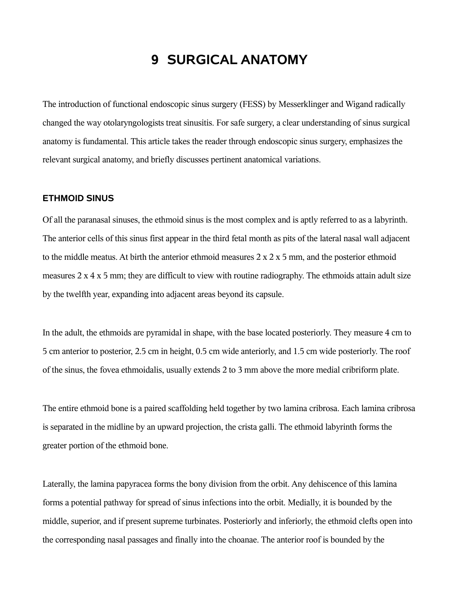## **9 SURGICAL ANATOMY**

The introduction of functional endoscopic sinus surgery (FESS) by Messerklinger and Wigand radically changed the way otolaryngologists treat sinusitis. For safe surgery, a clear understanding of sinus surgical anatomy is fundamental. This article takes the reader through endoscopic sinus surgery, emphasizes the relevant surgical anatomy, and briefly discusses pertinent anatomical variations.

#### **ETHMOID SINUS**

Of all the paranasal sinuses, the ethmoid sinus is the most complex and is aptly referred to as a labyrinth. The anterior cells of this sinus first appear in the third fetal month as pits of the lateral nasal wall adjacent to the middle meatus. At birth the anterior ethmoid measures  $2 \times 2 \times 5$  mm, and the posterior ethmoid measures 2 x 4 x 5 mm; they are difficult to view with routine radiography. The ethmoids attain adult size by the twelfth year, expanding into adjacent areas beyond its capsule.

In the adult, the ethmoids are pyramidal in shape, with the base located posteriorly. They measure 4 cm to 5 cm anterior to posterior, 2.5 cm in height, 0.5 cm wide anteriorly, and 1.5 cm wide posteriorly. The roof of the sinus, the fovea ethmoidalis, usually extends 2 to 3 mm above the more medial cribriform plate.

The entire ethmoid bone is a paired scaffolding held together by two lamina cribrosa. Each lamina cribrosa is separated in the midline by an upward projection, the crista galli. The ethmoid labyrinth forms the greater portion of the ethmoid bone.

Laterally, the lamina papyracea forms the bony division from the orbit. Any dehiscence of this lamina forms a potential pathway for spread of sinus infections into the orbit. Medially, it is bounded by the middle, superior, and if present supreme turbinates. Posteriorly and inferiorly, the ethmoid clefts open into the corresponding nasal passages and finally into the choanae. The anterior roof is bounded by the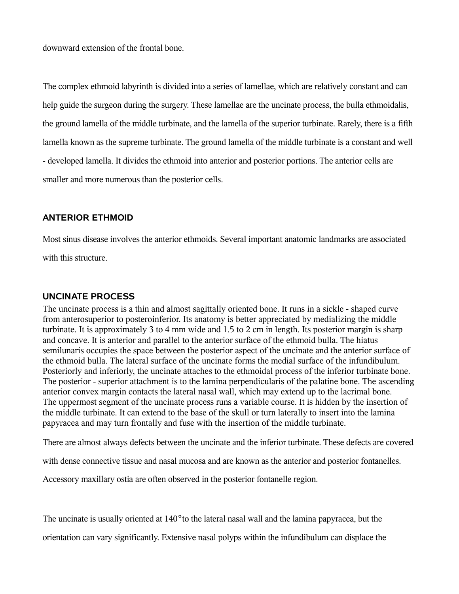downward extension of the frontal bone.

The complex ethmoid labyrinth is divided into a series of lamellae, which are relatively constant and can help guide the surgeon during the surgery. These lamellae are the uncinate process, the bulla ethmoidalis, the ground lamella of the middle turbinate, and the lamella of the superior turbinate. Rarely, there is a fifth lamella known as the supreme turbinate. The ground lamella of the middle turbinate is a constant and well - developed lamella. It divides the ethmoid into anterior and posterior portions. The anterior cells are smaller and more numerous than the posterior cells.

#### **ANTERIOR ETHMOID**

Most sinus disease involves the anterior ethmoids. Several important anatomic landmarks are associated

with this structure.

#### **UNCINATE PROCESS**

The uncinate process is a thin and almost sagittally oriented bone. It runs in a sickle - shaped curve from anterosuperior to posteroinferior. Its anatomy is better appreciated by medializing the middle turbinate. It is approximately 3 to 4 mm wide and 1.5 to 2 cm in length. Its posterior margin is sharp and concave. It is anterior and parallel to the anterior surface of the ethmoid bulla. The hiatus semilunaris occupies the space between the posterior aspect of the uncinate and the anterior surface of the ethmoid bulla. The lateral surface of the uncinate forms the medial surface of the infundibulum. Posteriorly and inferiorly, the uncinate attaches to the ethmoidal process of the inferior turbinate bone. The posterior - superior attachment is to the lamina perpendicularis of the palatine bone. The ascending anterior convex margin contacts the lateral nasal wall, which may extend up to the lacrimal bone. The uppermost segment of the uncinate process runs a variable course. It is hidden by the insertion of the middle turbinate. It can extend to the base of the skull or turn laterally to insert into the lamina papyracea and may turn frontally and fuse with the insertion of the middle turbinate.

There are almost always defects between the uncinate and the inferior turbinate. These defects are covered

with dense connective tissue and nasal mucosa and are known as the anterior and posterior fontanelles.

Accessory maxillary ostia are often observed in the posterior fontanelle region.

The uncinate is usually oriented at 140° to the lateral nasal wall and the lamina papyracea, but the

orientation can vary significantly. Extensive nasal polyps within the infundibulum can displace the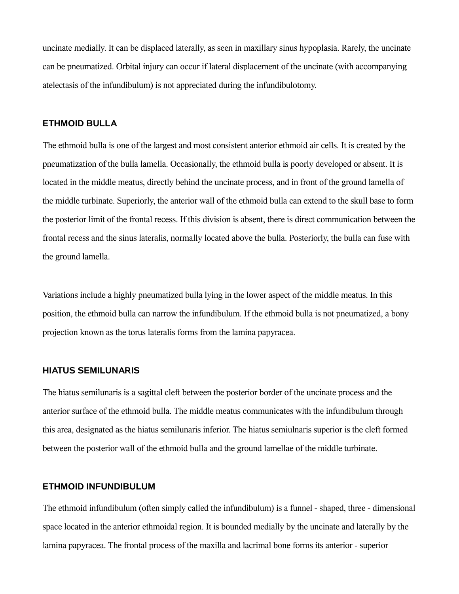uncinate medially. It can be displaced laterally, as seen in maxillary sinus hypoplasia. Rarely, the uncinate can be pneumatized. Orbital injury can occur if lateral displacement of the uncinate (with accompanying atelectasis of the infundibulum) is not appreciated during the infundibulotomy.

#### **ETHMOID BULLA**

The ethmoid bulla is one of the largest and most consistent anterior ethmoid air cells. It is created by the pneumatization of the bulla lamella. Occasionally, the ethmoid bulla is poorly developed or absent. It is located in the middle meatus, directly behind the uncinate process, and in front of the ground lamella of the middle turbinate. Superiorly, the anterior wall of the ethmoid bulla can extend to the skull base to form the posterior limit of the frontal recess. If this division is absent, there is direct communication between the frontal recess and the sinus lateralis, normally located above the bulla. Posteriorly, the bulla can fuse with the ground lamella.

Variations include a highly pneumatized bulla lying in the lower aspect of the middle meatus. In this position, the ethmoid bulla can narrow the infundibulum. If the ethmoid bulla is not pneumatized, a bony projection known as the torus lateralis forms from the lamina papyracea.

#### **HIATUS SEMILUNARIS**

The hiatus semilunaris is a sagittal cleft between the posterior border of the uncinate process and the anterior surface of the ethmoid bulla. The middle meatus communicates with the infundibulum through this area, designated as the hiatus semilunaris inferior. The hiatus semiulnaris superior is the cleft formed between the posterior wall of the ethmoid bulla and the ground lamellae of the middle turbinate.

#### **ETHMOID INFUNDIBULUM**

The ethmoid infundibulum (often simply called the infundibulum) is a funnel - shaped, three - dimensional space located in the anterior ethmoidal region. It is bounded medially by the uncinate and laterally by the lamina papyracea. The frontal process of the maxilla and lacrimal bone forms its anterior - superior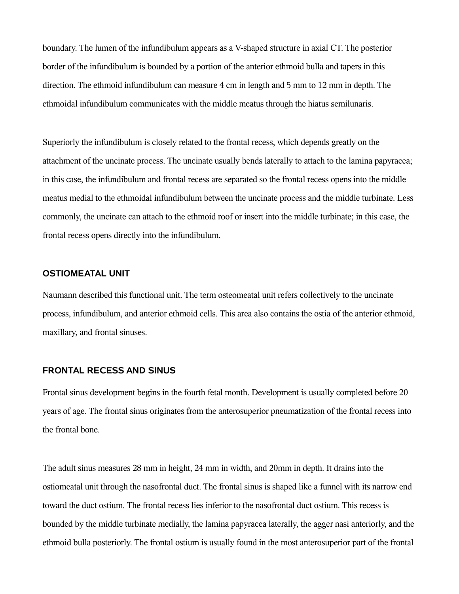boundary. The lumen of the infundibulum appears as a V-shaped structure in axial CT. The posterior border of the infundibulum is bounded by a portion of the anterior ethmoid bulla and tapers in this direction. The ethmoid infundibulum can measure 4 cm in length and 5 mm to 12 mm in depth. The ethmoidal infundibulum communicates with the middle meatus through the hiatus semilunaris.

Superiorly the infundibulum is closely related to the frontal recess, which depends greatly on the attachment of the uncinate process. The uncinate usually bends laterally to attach to the lamina papyracea; in this case, the infundibulum and frontal recess are separated so the frontal recess opens into the middle meatus medial to the ethmoidal infundibulum between the uncinate process and the middle turbinate. Less commonly, the uncinate can attach to the ethmoid roof or insert into the middle turbinate; in this case, the frontal recess opens directly into the infundibulum.

#### **OSTIOMEATAL UNIT**

Naumann described this functional unit. The term osteomeatal unit refers collectively to the uncinate process, infundibulum, and anterior ethmoid cells. This area also contains the ostia of the anterior ethmoid, maxillary, and frontal sinuses.

#### **FRONTAL RECESS AND SINUS**

Frontal sinus development begins in the fourth fetal month. Development is usually completed before 20 years of age. The frontal sinus originates from the anterosuperior pneumatization of the frontal recess into the frontal bone.

The adult sinus measures 28 mm in height, 24 mm in width, and 20mm in depth. It drains into the ostiomeatal unit through the nasofrontal duct. The frontal sinus is shaped like a funnel with its narrow end toward the duct ostium. The frontal recess lies inferior to the nasofrontal duct ostium. This recess is bounded by the middle turbinate medially, the lamina papyracea laterally, the agger nasi anteriorly, and the ethmoid bulla posteriorly. The frontal ostium is usually found in the most anterosuperior part of the frontal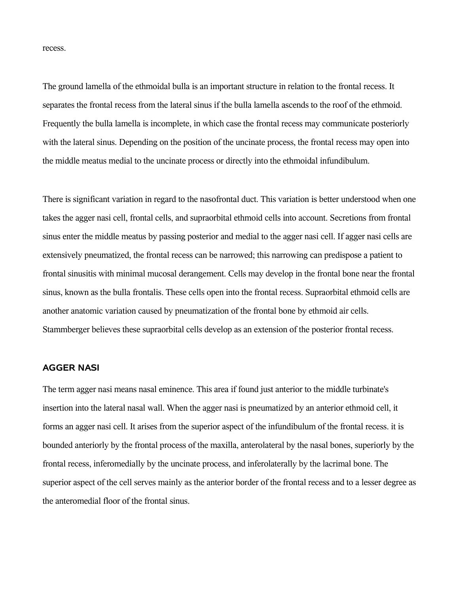recess.

The ground lamella of the ethmoidal bulla is an important structure in relation to the frontal recess. It separates the frontal recess from the lateral sinus if the bulla lamella ascends to the roof of the ethmoid. Frequently the bulla lamella is incomplete, in which case the frontal recess may communicate posteriorly with the lateral sinus. Depending on the position of the uncinate process, the frontal recess may open into the middle meatus medial to the uncinate process or directly into the ethmoidal infundibulum.

There is significant variation in regard to the nasofrontal duct. This variation is better understood when one takes the agger nasi cell, frontal cells, and supraorbital ethmoid cells into account. Secretions from frontal sinus enter the middle meatus by passing posterior and medial to the agger nasi cell. If agger nasi cells are extensively pneumatized, the frontal recess can be narrowed; this narrowing can predispose a patient to frontal sinusitis with minimal mucosal derangement. Cells may develop in the frontal bone near the frontal sinus, known as the bulla frontalis. These cells open into the frontal recess. Supraorbital ethmoid cells are another anatomic variation caused by pneumatization of the frontal bone by ethmoid air cells. Stammberger believes these supraorbital cells develop as an extension of the posterior frontal recess.

#### **AGGER NASI**

The term agger nasi means nasal eminence. This area if found just anterior to the middle turbinate's insertion into the lateral nasal wall. When the agger nasi is pneumatized by an anterior ethmoid cell, it forms an agger nasi cell. It arises from the superior aspect of the infundibulum of the frontal recess. it is bounded anteriorly by the frontal process of the maxilla, anterolateral by the nasal bones, superiorly by the frontal recess, inferomedially by the uncinate process, and inferolaterally by the lacrimal bone. The superior aspect of the cell serves mainly as the anterior border of the frontal recess and to a lesser degree as the anteromedial floor of the frontal sinus.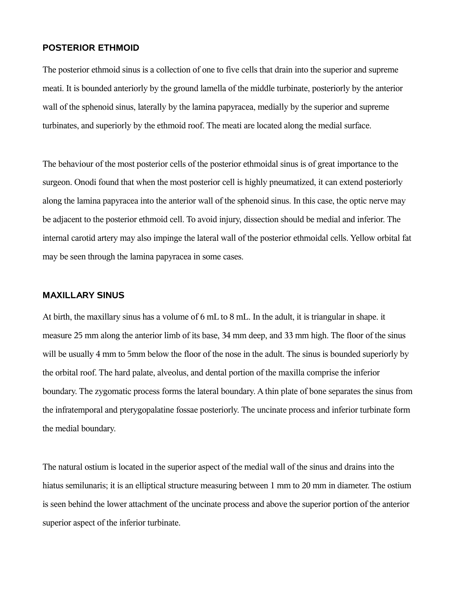#### **POSTERIOR ETHMOID**

The posterior ethmoid sinus is a collection of one to five cells that drain into the superior and supreme meati. It is bounded anteriorly by the ground lamella of the middle turbinate, posteriorly by the anterior wall of the sphenoid sinus, laterally by the lamina papyracea, medially by the superior and supreme turbinates, and superiorly by the ethmoid roof. The meati are located along the medial surface.

The behaviour of the most posterior cells of the posterior ethmoidal sinus is of great importance to the surgeon. Onodi found that when the most posterior cell is highly pneumatized, it can extend posteriorly along the lamina papyracea into the anterior wall of the sphenoid sinus. In this case, the optic nerve may be adjacent to the posterior ethmoid cell. To avoid injury, dissection should be medial and inferior. The internal carotid artery may also impinge the lateral wall of the posterior ethmoidal cells. Yellow orbital fat may be seen through the lamina papyracea in some cases.

#### **MAXILLARY SINUS**

At birth, the maxillary sinus has a volume of 6 mL to 8 mL. In the adult, it is triangular in shape. it measure 25 mm along the anterior limb of its base, 34 mm deep, and 33 mm high. The floor of the sinus will be usually 4 mm to 5mm below the floor of the nose in the adult. The sinus is bounded superiorly by the orbital roof. The hard palate, alveolus, and dental portion of the maxilla comprise the inferior boundary. The zygomatic process forms the lateral boundary. A thin plate of bone separates the sinus from the infratemporal and pterygopalatine fossae posteriorly. The uncinate process and inferior turbinate form the medial boundary.

The natural ostium is located in the superior aspect of the medial wall of the sinus and drains into the hiatus semilunaris; it is an elliptical structure measuring between 1 mm to 20 mm in diameter. The ostium is seen behind the lower attachment of the uncinate process and above the superior portion of the anterior superior aspect of the inferior turbinate.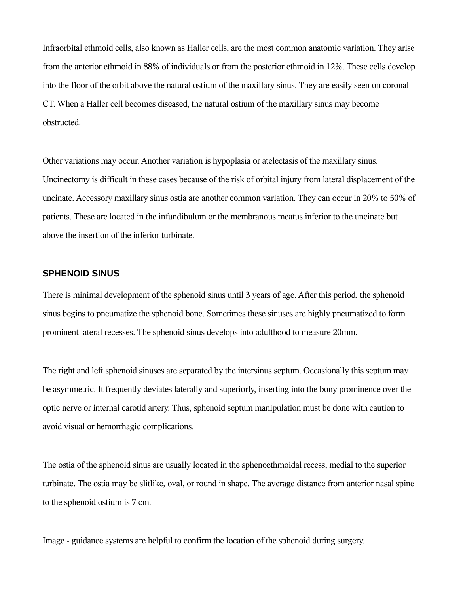Infraorbital ethmoid cells, also known as Haller cells, are the most common anatomic variation. They arise from the anterior ethmoid in 88% of individuals or from the posterior ethmoid in 12%. These cells develop into the floor of the orbit above the natural ostium of the maxillary sinus. They are easily seen on coronal CT. When a Haller cell becomes diseased, the natural ostium of the maxillary sinus may become obstructed.

Other variations may occur. Another variation is hypoplasia or atelectasis of the maxillary sinus. Uncinectomy is difficult in these cases because of the risk of orbital injury from lateral displacement of the uncinate. Accessory maxillary sinus ostia are another common variation. They can occur in 20% to 50% of patients. These are located in the infundibulum or the membranous meatus inferior to the uncinate but above the insertion of the inferior turbinate.

#### **SPHENOID SINUS**

There is minimal development of the sphenoid sinus until 3 years of age. After this period, the sphenoid sinus begins to pneumatize the sphenoid bone. Sometimes these sinuses are highly pneumatized to form prominent lateral recesses. The sphenoid sinus develops into adulthood to measure 20mm.

The right and left sphenoid sinuses are separated by the intersinus septum. Occasionally this septum may be asymmetric. It frequently deviates laterally and superiorly, inserting into the bony prominence over the optic nerve or internal carotid artery. Thus, sphenoid septum manipulation must be done with caution to avoid visual or hemorrhagic complications.

The ostia of the sphenoid sinus are usually located in the sphenoethmoidal recess, medial to the superior turbinate. The ostia may be slitlike, oval, or round in shape. The average distance from anterior nasal spine to the sphenoid ostium is 7 cm.

Image - guidance systems are helpful to confirm the location of the sphenoid during surgery.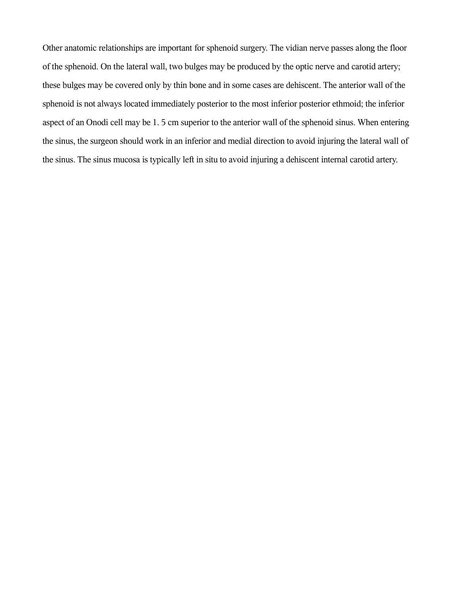Other anatomic relationships are important for sphenoid surgery. The vidian nerve passes along the floor of the sphenoid. On the lateral wall, two bulges may be produced by the optic nerve and carotid artery; these bulges may be covered only by thin bone and in some cases are dehiscent. The anterior wall of the sphenoid is not always located immediately posterior to the most inferior posterior ethmoid; the inferior aspect of an Onodi cell may be 1. 5 cm superior to the anterior wall of the sphenoid sinus. When entering the sinus, the surgeon should work in an inferior and medial direction to avoid injuring the lateral wall of the sinus. The sinus mucosa is typically left in situ to avoid injuring a dehiscent internal carotid artery.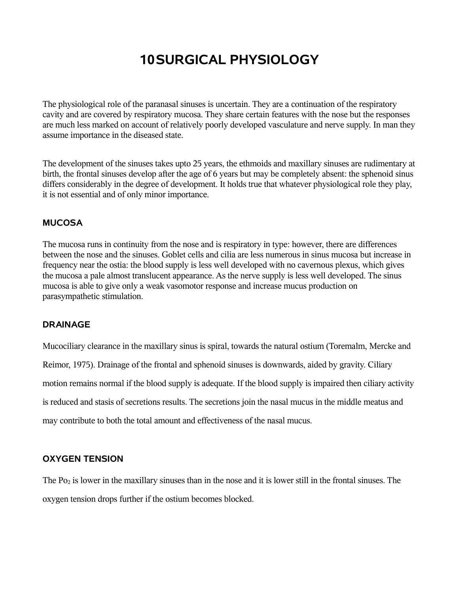# **10SURGICAL PHYSIOLOGY**

The physiological role of the paranasal sinuses is uncertain. They are a continuation of the respiratory cavity and are covered by respiratory mucosa. They share certain features with the nose but the responses are much less marked on account of relatively poorly developed vasculature and nerve supply. In man they assume importance in the diseased state.

The development of the sinuses takes upto 25 years, the ethmoids and maxillary sinuses are rudimentary at birth, the frontal sinuses develop after the age of 6 years but may be completely absent: the sphenoid sinus differs considerably in the degree of development. It holds true that whatever physiological role they play, it is not essential and of only minor importance.

#### **MUCOSA**

The mucosa runs in continuity from the nose and is respiratory in type: however, there are differences between the nose and the sinuses. Goblet cells and cilia are less numerous in sinus mucosa but increase in frequency near the ostia: the blood supply is less well developed with no cavernous plexus, which gives the mucosa a pale almost translucent appearance. As the nerve supply is less well developed. The sinus mucosa is able to give only a weak vasomotor response and increase mucus production on parasympathetic stimulation.

#### **DRAINAGE**

Mucociliary clearance in the maxillary sinus is spiral, towards the natural ostium (Toremalm, Mercke and Reimor, 1975). Drainage of the frontal and sphenoid sinuses is downwards, aided by gravity. Ciliary motion remains normal if the blood supply is adequate. If the blood supply is impaired then ciliary activity is reduced and stasis of secretions results. The secretions join the nasal mucus in the middle meatus and may contribute to both the total amount and effectiveness of the nasal mucus.

#### **OXYGEN TENSION**

The Po<sub>2</sub> is lower in the maxillary sinuses than in the nose and it is lower still in the frontal sinuses. The oxygen tension drops further if the ostium becomes blocked.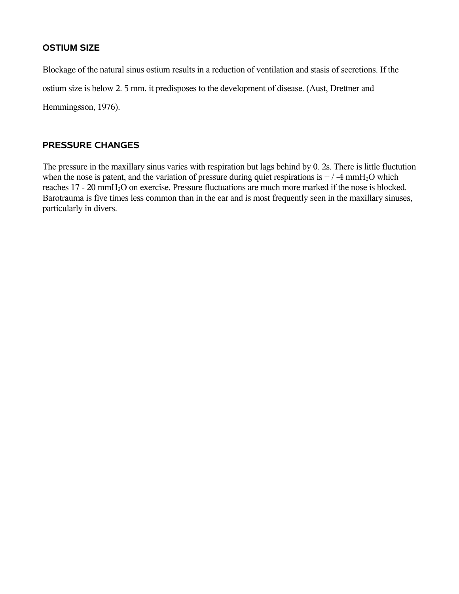#### **OSTIUM SIZE**

Blockage of the natural sinus ostium results in a reduction of ventilation and stasis of secretions. If the ostium size is below 2. 5 mm. it predisposes to the development of disease. (Aust, Drettner and Hemmingsson, 1976).

#### **PRESSURE CHANGES**

The pressure in the maxillary sinus varies with respiration but lags behind by 0. 2s. There is little fluctution when the nose is patent, and the variation of pressure during quiet respirations is  $+ / -4$  mmH<sub>2</sub>O which reaches 17 - 20 mmH<sub>2</sub>O on exercise. Pressure fluctuations are much more marked if the nose is blocked. Barotrauma is five times less common than in the ear and is most frequently seen in the maxillary sinuses, particularly in divers.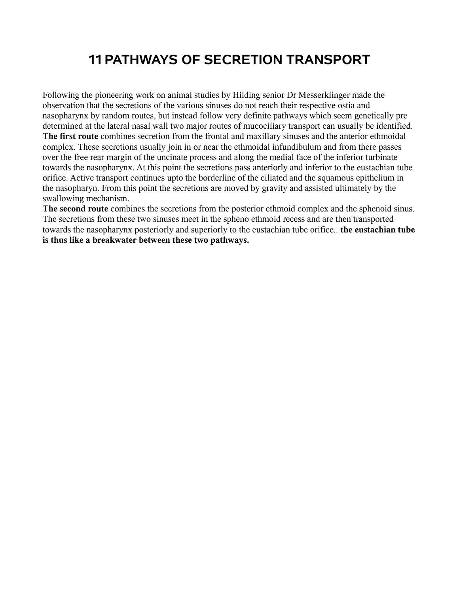## **11PATHWAYS OF SECRETION TRANSPORT**

Following the pioneering work on animal studies by Hilding senior Dr Messerklinger made the observation that the secretions of the various sinuses do not reach their respective ostia and nasopharynx by random routes, but instead follow very definite pathways which seem genetically pre determined at the lateral nasal wall two major routes of mucociliary transport can usually be identified. **The first route** combines secretion from the frontal and maxillary sinuses and the anterior ethmoidal complex. These secretions usually join in or near the ethmoidal infundibulum and from there passes over the free rear margin of the uncinate process and along the medial face of the inferior turbinate towards the nasopharynx. At this point the secretions pass anteriorly and inferior to the eustachian tube orifice. Active transport continues upto the borderline of the ciliated and the squamous epithelium in the nasopharyn. From this point the secretions are moved by gravity and assisted ultimately by the swallowing mechanism.

**The second route** combines the secretions from the posterior ethmoid complex and the sphenoid sinus. The secretions from these two sinuses meet in the spheno ethmoid recess and are then transported towards the nasopharynx posteriorly and superiorly to the eustachian tube orifice.. **the eustachian tube is thus like a breakwater between these two pathways.**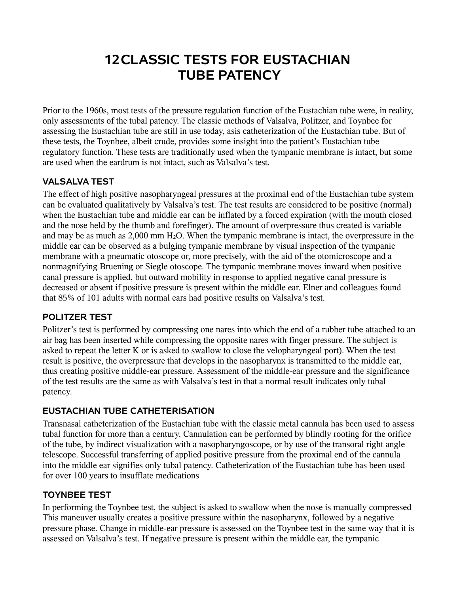## **12CLASSIC TESTS FOR EUSTACHIAN TUBE PATENCY**

Prior to the 1960s, most tests of the pressure regulation function of the Eustachian tube were, in reality, only assessments of the tubal patency. The classic methods of Valsalva, Politzer, and Toynbee for assessing the Eustachian tube are still in use today, asis catheterization of the Eustachian tube. But of these tests, the Toynbee, albeit crude, provides some insight into the patient's Eustachian tube regulatory function. These tests are traditionally used when the tympanic membrane is intact, but some are used when the eardrum is not intact, such as Valsalva's test.

## **VALSALVA TEST**

The effect of high positive nasopharyngeal pressures at the proximal end of the Eustachian tube system can be evaluated qualitatively by Valsalva's test. The test results are considered to be positive (normal) when the Eustachian tube and middle ear can be inflated by a forced expiration (with the mouth closed and the nose held by the thumb and forefinger). The amount of overpressure thus created is variable and may be as much as  $2,000$  mm  $H_2O$ . When the tympanic membrane is intact, the overpressure in the middle ear can be observed as a bulging tympanic membrane by visual inspection of the tympanic membrane with a pneumatic otoscope or, more precisely, with the aid of the otomicroscope and a nonmagnifying Bruening or Siegle otoscope. The tympanic membrane moves inward when positive canal pressure is applied, but outward mobility in response to applied negative canal pressure is decreased or absent if positive pressure is present within the middle ear. Elner and colleagues found that 85% of 101 adults with normal ears had positive results on Valsalva's test.

### **POLITZER TEST**

Politzer's test is performed by compressing one nares into which the end of a rubber tube attached to an air bag has been inserted while compressing the opposite nares with finger pressure. The subject is asked to repeat the letter K or is asked to swallow to close the velopharyngeal port). When the test result is positive, the overpressure that develops in the nasopharynx is transmitted to the middle ear, thus creating positive middle-ear pressure. Assessment of the middle-ear pressure and the significance of the test results are the same as with Valsalva's test in that a normal result indicates only tubal patency.

### **EUSTACHIAN TUBE CATHETERISATION**

Transnasal catheterization of the Eustachian tube with the classic metal cannula has been used to assess tubal function for more than a century. Cannulation can be performed by blindly rooting for the orifice of the tube, by indirect visualization with a nasopharyngoscope, or by use of the transoral right angle telescope. Successful transferring of applied positive pressure from the proximal end of the cannula into the middle ear signifies only tubal patency. Catheterization of the Eustachian tube has been used for over 100 years to insufflate medications

#### **TOYNBEE TEST**

In performing the Toynbee test, the subject is asked to swallow when the nose is manually compressed This maneuver usually creates a positive pressure within the nasopharynx, followed by a negative pressure phase. Change in middle-ear pressure is assessed on the Toynbee test in the same way that it is assessed on Valsalva's test. If negative pressure is present within the middle ear, the tympanic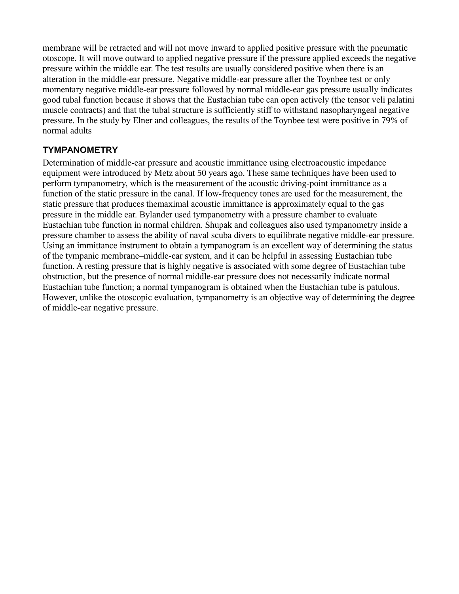membrane will be retracted and will not move inward to applied positive pressure with the pneumatic otoscope. It will move outward to applied negative pressure if the pressure applied exceeds the negative pressure within the middle ear. The test results are usually considered positive when there is an alteration in the middle-ear pressure. Negative middle-ear pressure after the Toynbee test or only momentary negative middle-ear pressure followed by normal middle-ear gas pressure usually indicates good tubal function because it shows that the Eustachian tube can open actively (the tensor veli palatini muscle contracts) and that the tubal structure is sufficiently stiff to withstand nasopharyngeal negative pressure. In the study by Elner and colleagues, the results of the Toynbee test were positive in 79% of normal adults

#### **TYMPANOMETRY**

Determination of middle-ear pressure and acoustic immittance using electroacoustic impedance equipment were introduced by Metz about 50 years ago. These same techniques have been used to perform tympanometry, which is the measurement of the acoustic driving-point immittance as a function of the static pressure in the canal. If low-frequency tones are used for the measurement, the static pressure that produces themaximal acoustic immittance is approximately equal to the gas pressure in the middle ear. Bylander used tympanometry with a pressure chamber to evaluate Eustachian tube function in normal children. Shupak and colleagues also used tympanometry inside a pressure chamber to assess the ability of naval scuba divers to equilibrate negative middle-ear pressure. Using an immittance instrument to obtain a tympanogram is an excellent way of determining the status of the tympanic membrane–middle-ear system, and it can be helpful in assessing Eustachian tube function. A resting pressure that is highly negative is associated with some degree of Eustachian tube obstruction, but the presence of normal middle-ear pressure does not necessarily indicate normal Eustachian tube function; a normal tympanogram is obtained when the Eustachian tube is patulous. However, unlike the otoscopic evaluation, tympanometry is an objective way of determining the degree of middle-ear negative pressure.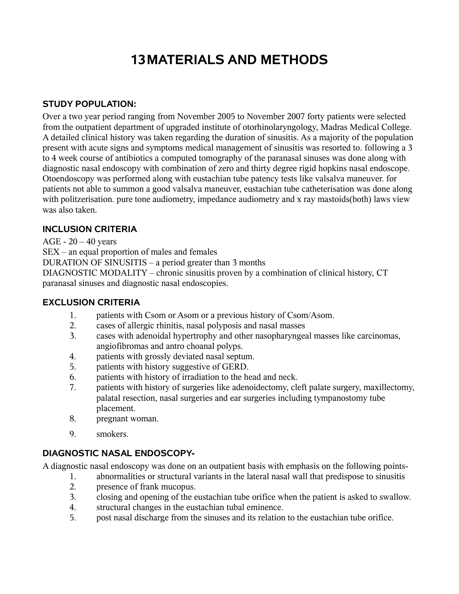# **13MATERIALS AND METHODS**

#### **STUDY POPULATION:**

Over a two year period ranging from November 2005 to November 2007 forty patients were selected from the outpatient department of upgraded institute of otorhinolaryngology, Madras Medical College. A detailed clinical history was taken regarding the duration of sinusitis. As a majority of the population present with acute signs and symptoms medical management of sinusitis was resorted to. following a 3 to 4 week course of antibiotics a computed tomography of the paranasal sinuses was done along with diagnostic nasal endoscopy with combination of zero and thirty degree rigid hopkins nasal endoscope. Otoendoscopy was performed along with eustachian tube patency tests like valsalva maneuver. for patients not able to summon a good valsalva maneuver, eustachian tube catheterisation was done along with politzerisation. pure tone audiometry, impedance audiometry and x ray mastoids(both) laws view was also taken.

### **INCLUSION CRITERIA**

AGE -  $20 - 40$  years

SEX – an equal proportion of males and females

DURATION OF SINUSITIS – a period greater than 3 months

DIAGNOSTIC MODALITY – chronic sinusitis proven by a combination of clinical history, CT paranasal sinuses and diagnostic nasal endoscopies.

### **EXCLUSION CRITERIA**

- 1. patients with Csom or Asom or a previous history of Csom/Asom.
- 2. cases of allergic rhinitis, nasal polyposis and nasal masses
- 3. cases with adenoidal hypertrophy and other nasopharyngeal masses like carcinomas, angiofibromas and antro choanal polyps.
- 4. patients with grossly deviated nasal septum.
- 5. patients with history suggestive of GERD.
- 6. patients with history of irradiation to the head and neck.
- 7. patients with history of surgeries like adenoidectomy, cleft palate surgery, maxillectomy, palatal resection, nasal surgeries and ear surgeries including tympanostomy tube placement.
- 8. pregnant woman.
- 9. smokers.

### **DIAGNOSTIC NASAL ENDOSCOPY-**

A diagnostic nasal endoscopy was done on an outpatient basis with emphasis on the following points-

- 1. abnormalities or structural variants in the lateral nasal wall that predispose to sinusitis
- 2. presence of frank mucopus.
- 3. closing and opening of the eustachian tube orifice when the patient is asked to swallow.
- 4. structural changes in the eustachian tubal eminence.
- 5. post nasal discharge from the sinuses and its relation to the eustachian tube orifice.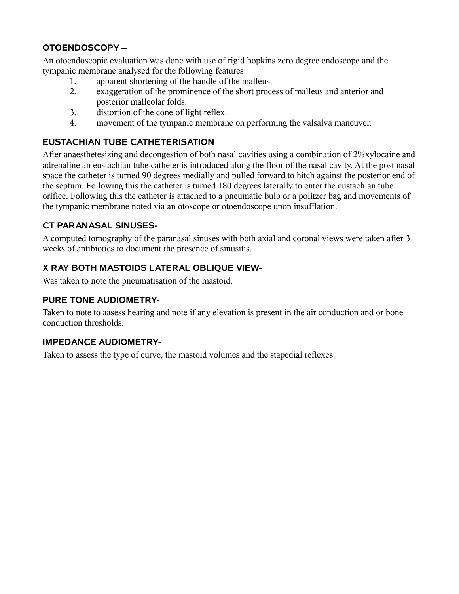#### **OTOENDOSCOPY –**

An otoendoscopic evaluation was done with use of rigid hopkins zero degree endoscope and the tympanic membrane analysed for the following features

- 1. apparent shortening of the handle of the malleus.
- 2. exaggeration of the prominence of the short process of malleus and anterior and posterior malleolar folds.
- 3. distortion of the cone of light reflex.
- 4. movement of the tympanic membrane on performing the valsalva maneuver.

#### **EUSTACHIAN TUBE CATHETERISATION**

After anaesthetesizing and decongestion of both nasal cavities using a combination of 2%xylocaine and adrenaline an eustachian tube catheter is introduced along the floor of the nasal cavity. At the post nasal space the catheter is turned 90 degrees medially and pulled forward to hitch against the posterior end of the septum. Following this the catheter is turned 180 degrees laterally to enter the eustachian tube orifice. Following this the catheter is attached to a pneumatic bulb or a politzer bag and movements of the tympanic membrane noted via an otoscope or otoendoscope upon insufflation.

#### **CT PARANASAL SINUSES-**

A computed tomography of the paranasal sinuses with both axial and coronal views were taken after 3 weeks of antibiotics to document the presence of sinusitis.

#### **X RAY BOTH MASTOIDS LATERAL OBLIQUE VIEW-**

Was taken to note the pneumatisation of the mastoid.

#### **PURE TONE AUDIOMETRY-**

Taken to note to aasess hearing and note if any elevation is present in the air conduction and or bone conduction thresholds.

#### **IMPEDANCE AUDIOMETRY-**

Taken to assess the type of curve, the mastoid volumes and the stapedial reflexes.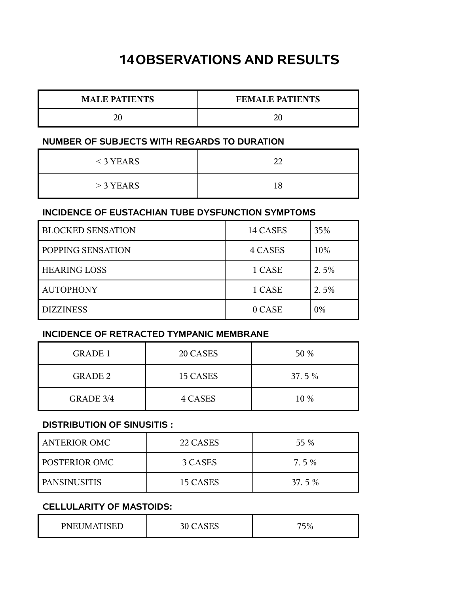## **14OBSERVATIONS AND RESULTS**

| <b>MALE PATIENTS</b> | <b>FEMALE PATIENTS</b> |
|----------------------|------------------------|
|                      |                        |

#### **NUMBER OF SUBJECTS WITH REGARDS TO DURATION**

| $<$ 3 YEARS |    |
|-------------|----|
| $>$ 3 YEARS | 18 |

#### **INCIDENCE OF EUSTACHIAN TUBE DYSFUNCTION SYMPTOMS**

| <b>BLOCKED SENSATION</b> | 14 CASES | 35%  |
|--------------------------|----------|------|
| POPPING SENSATION        | 4 CASES  | 10%  |
| <b>HEARING LOSS</b>      | 1 CASE   | 2.5% |
| <b>AUTOPHONY</b>         | 1 CASE   | 2.5% |
| <b>DIZZINESS</b>         | 0 CASE   | 0%   |

### **INCIDENCE OF RETRACTED TYMPANIC MEMBRANE**

| <b>GRADE 1</b> | 20 CASES | 50 %  |
|----------------|----------|-------|
| <b>GRADE 2</b> | 15 CASES | 37.5% |
| GRADE 3/4      | 4 CASES  | 10 %  |

#### **DISTRIBUTION OF SINUSITIS :**

| <b>ANTERIOR OMC</b>  | 22 CASES | 55 %    |
|----------------------|----------|---------|
| <b>POSTERIOR OMC</b> | 3 CASES  | $7.5\%$ |
| <b>PANSINUSITIS</b>  | 15 CASES | 37.5%   |

### **CELLULARITY OF MASTOIDS:**

| PNEUMATISED | $\sim$ $\sim$<br>30 <sup>7</sup><br>LASES | 75%<br>$J$ / $0$ |
|-------------|-------------------------------------------|------------------|
|-------------|-------------------------------------------|------------------|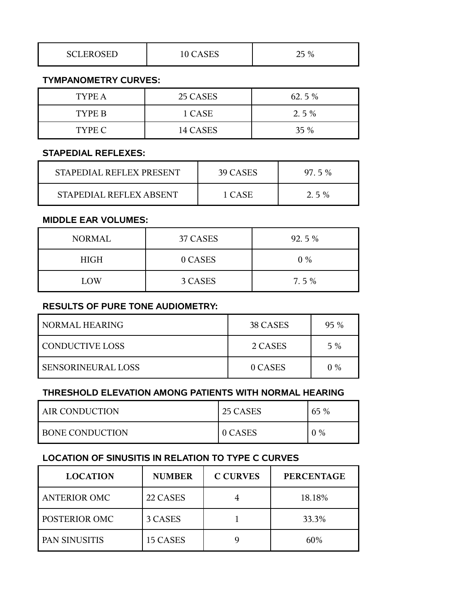| <b>SCLEROSED</b> | $\Gamma$<br>$\Delta$<br>CAOLO<br>⊥∪ | つに<br>$\%$<br>ر ت |
|------------------|-------------------------------------|-------------------|
|------------------|-------------------------------------|-------------------|

#### **TYMPANOMETRY CURVES:**

| TYPE A | 25 CASES | 62.5%   |
|--------|----------|---------|
| TYPE B | 1 CASE   | $2.5\%$ |
| TYPE C | 14 CASES | $35\%$  |

#### **STAPEDIAL REFLEXES:**

| STAPEDIAL REFLEX PRESENT | 39 CASES | $97\,5\%$ |
|--------------------------|----------|-----------|
| STAPEDIAL REFLEX ABSENT  | 1 CASE   | $2.5\%$   |

#### **MIDDLE EAR VOLUMES:**

| NORMAL      | 37 CASES | 92.5%   |
|-------------|----------|---------|
| <b>HIGH</b> | 0 CASES  | $0\%$   |
| LOW         | 3 CASES  | $7.5\%$ |

#### **RESULTS OF PURE TONE AUDIOMETRY:**

| I NORMAL HEARING       | 38 CASES | $95\%$ |
|------------------------|----------|--------|
| <b>CONDUCTIVE LOSS</b> | 2 CASES  | $5\%$  |
| SENSORINEURAL LOSS     | 0 CASES  | $0\%$  |

#### **THRESHOLD ELEVATION AMONG PATIENTS WITH NORMAL HEARING**

| AIR CONDUCTION         | 25 CASES | 65 %  |
|------------------------|----------|-------|
| <b>BONE CONDUCTION</b> | 0 CASES  | $0\%$ |

#### **LOCATION OF SINUSITIS IN RELATION TO TYPE C CURVES**

| <b>LOCATION</b>     | <b>NUMBER</b> | <b>C CURVES</b> | <b>PERCENTAGE</b> |
|---------------------|---------------|-----------------|-------------------|
| <b>ANTERIOR OMC</b> | 22 CASES      |                 | 18.18%            |
| POSTERIOR OMC       | 3 CASES       |                 | 33.3%             |
| PAN SINUSITIS       | 15 CASES      |                 | 60%               |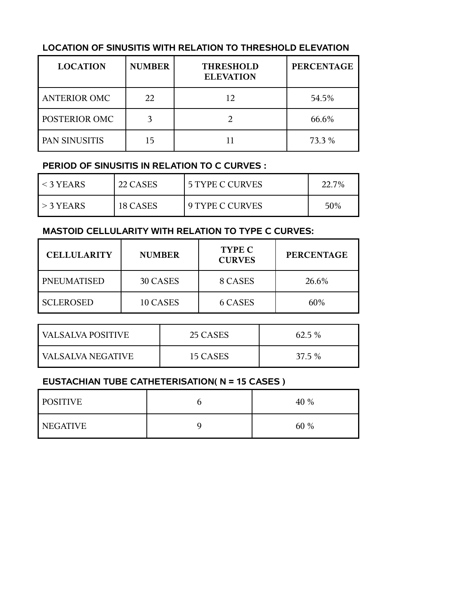#### **LOCATION OF SINUSITIS WITH RELATION TO THRESHOLD ELEVATION**

| <b>LOCATION</b>     | <b>NUMBER</b> | <b>THRESHOLD</b><br><b>ELEVATION</b> | <b>PERCENTAGE</b> |
|---------------------|---------------|--------------------------------------|-------------------|
| <b>ANTERIOR OMC</b> | 22            | 12                                   | 54.5%             |
| POSTERIOR OMC       |               |                                      | 66.6%             |
| PAN SINUSITIS       | 15            |                                      | 73.3 %            |

#### **PERIOD OF SINUSITIS IN RELATION TO C CURVES :**

| $<$ 3 YEARS | 22 CASES | <b>5 TYPE C CURVES</b> | 22.7% |
|-------------|----------|------------------------|-------|
| $>$ 3 YEARS | 18 CASES | <b>9 TYPE C CURVES</b> | 50%   |

#### **MASTOID CELLULARITY WITH RELATION TO TYPE C CURVES:**

| <b>CELLULARITY</b> | <b>NUMBER</b> | <b>TYPE C</b><br><b>CURVES</b> | <b>PERCENTAGE</b> |
|--------------------|---------------|--------------------------------|-------------------|
| PNEUMATISED        | 30 CASES      | 8 CASES                        | 26.6%             |
| <b>SCLEROSED</b>   | 10 CASES      | 6 CASES                        | 60%               |

| VALSALVA POSITIVE   | 25 CASES | 62.5 % |
|---------------------|----------|--------|
| I VALSALVA NEGATIVE | 15 CASES | 37.5 % |

#### **EUSTACHIAN TUBE CATHETERISATION( N = 15 CASES )**

| <b>POSITIVE</b> | 40 % |
|-----------------|------|
| NEGATIVE        | 60 % |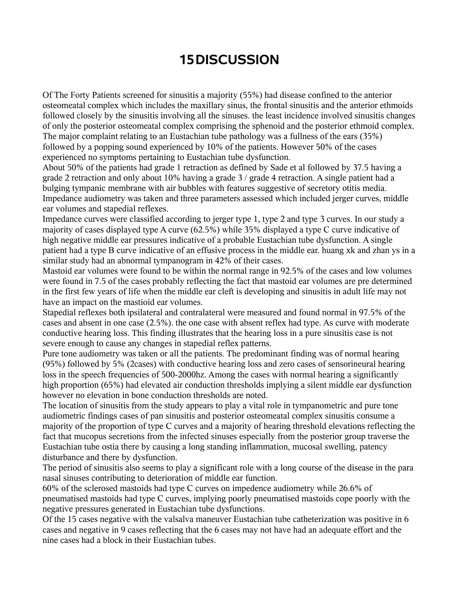## **15DISCUSSION**

Of The Forty Patients screened for sinusitis a majority (55%) had disease confined to the anterior osteomeatal complex which includes the maxillary sinus, the frontal sinusitis and the anterior ethmoids followed closely by the sinusitis involving all the sinuses. the least incidence involved sinusitis changes of only the posterior osteomeatal complex comprising the sphenoid and the posterior ethmoid complex. The major complaint relating to an Eustachian tube pathology was a fullness of the ears (35%) followed by a popping sound experienced by 10% of the patients. However 50% of the cases experienced no symptoms pertaining to Eustachian tube dysfunction.

About 50% of the patients had grade 1 retraction as defined by Sade et al followed by 37.5 having a grade 2 retraction and only about 10% having a grade 3 / grade 4 retraction. A single patient had a bulging tympanic membrane with air bubbles with features suggestive of secretory otitis media. Impedance audiometry was taken and three parameters assessed which included jerger curves, middle ear volumes and stapedial reflexes.

Impedance curves were classified according to jerger type 1, type 2 and type 3 curves. In our study a majority of cases displayed type A curve (62.5%) while 35% displayed a type C curve indicative of high negative middle ear pressures indicative of a probable Eustachian tube dysfunction. A single patient had a type B curve indicative of an effusive process in the middle ear. huang xk and zhan ys in a similar study had an abnormal tympanogram in 42% of their cases.

Mastoid ear volumes were found to be within the normal range in 92.5% of the cases and low volumes were found in 7.5 of the cases probably reflecting the fact that mastoid ear volumes are pre determined in the first few years of life when the middle ear cleft is developing and sinusitis in adult life may not have an impact on the mastioid ear volumes.

Stapedial reflexes both ipsilateral and contralateral were measured and found normal in 97.5% of the cases and absent in one case (2.5%). the one case with absent reflex had type. As curve with moderate conductive hearing loss. This finding illustrates that the hearing loss in a pure sinusitis case is not severe enough to cause any changes in stapedial reflex patterns.

Pure tone audiometry was taken or all the patients. The predominant finding was of normal hearing (95%) followed by 5% (2cases) with conductive hearing loss and zero cases of sensorineural hearing loss in the speech frequencies of 500-2000hz. Among the cases with normal hearing a significantly high proportion (65%) had elevated air conduction thresholds implying a silent middle ear dysfunction however no elevation in bone conduction thresholds are noted.

The location of sinusitis from the study appears to play a vital role in tympanometric and pure tone audiometric findings cases of pan sinusitis and posterior osteomeatal complex sinusitis consume a majority of the proportion of type C curves and a majority of hearing threshold elevations reflecting the fact that mucopus secretions from the infected sinuses especially from the posterior group traverse the Eustachian tube ostia there by causing a long standing inflammation, mucosal swelling, patency disturbance and there by dysfunction.

The period of sinusitis also seems to play a significant role with a long course of the disease in the para nasal sinuses contributing to deterioration of middle ear function.

60% of the sclerosed mastoids had type C curves on impedence audiometry while 26.6% of pneumatised mastoids had type C curves, implying poorly pneumatised mastoids cope poorly with the negative pressures generated in Eustachian tube dysfunctions.

Of the 15 cases negative with the valsalva maneuver Eustachian tube catheterization was positive in 6 cases and negative in 9 cases reflecting that the 6 cases may not have had an adequate effort and the nine cases had a block in their Eustachian tubes.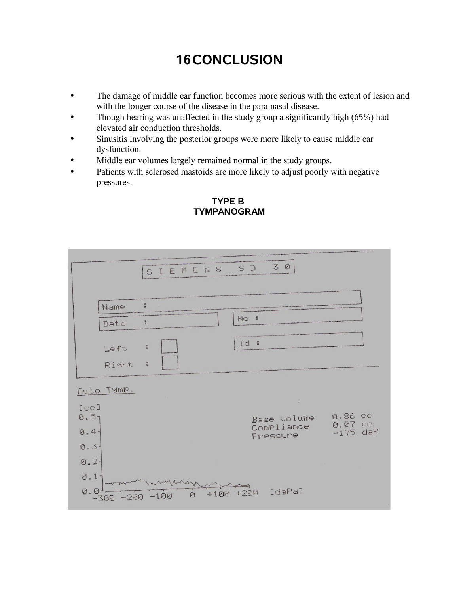# **16CONCLUSION**

- The damage of middle ear function becomes more serious with the extent of lesion and with the longer course of the disease in the para nasal disease.
- Though hearing was unaffected in the study group a significantly high (65%) had elevated air conduction thresholds.
- Sinusitis involving the posterior groups were more likely to cause middle ear dysfunction.
- Middle ear volumes largely remained normal in the study groups.
- Patients with sclerosed mastoids are more likely to adjust poorly with negative pressures.

|                          |                | 30<br>SIEMENS SD                                          |                                      |
|--------------------------|----------------|-----------------------------------------------------------|--------------------------------------|
|                          |                |                                                           |                                      |
|                          | Name           | $\frac{\pi}{4}$                                           |                                      |
|                          | Date           | No:<br>H                                                  |                                      |
|                          | Left           | Id :<br>$\frac{\pi}{\omega}$                              |                                      |
|                          | Right          | $\frac{u}{u}$                                             |                                      |
|                          | Auto Tymp.     |                                                           |                                      |
| [co]<br>0.51<br>0.41     |                | $\alpha$<br>Base volume<br>Compliance<br>Pressure         | 0.86 00<br>$0.07$ $00$<br>$-175$ daP |
| $0.3 -$<br>$0.2 -$       |                |                                                           |                                      |
| $\emptyset$ . 1.<br>0.01 | -300 -200 -100 | سيرس والمهار ويرود والمسر<br>[daPa]<br>$+100 + 200$<br>Ø. |                                      |

#### **TYPE B TYMPANOGRAM**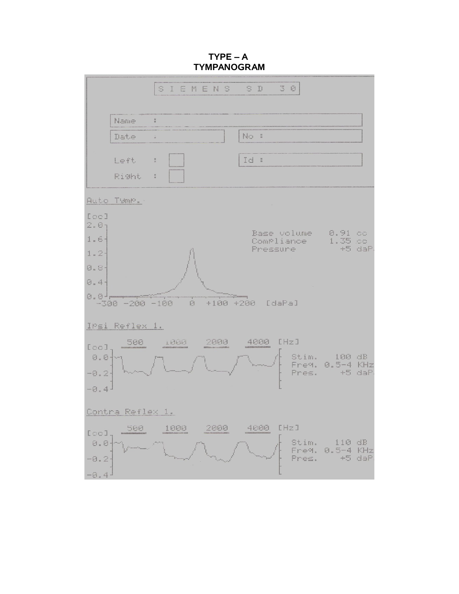**TYPE – A TYMPANOGRAM**

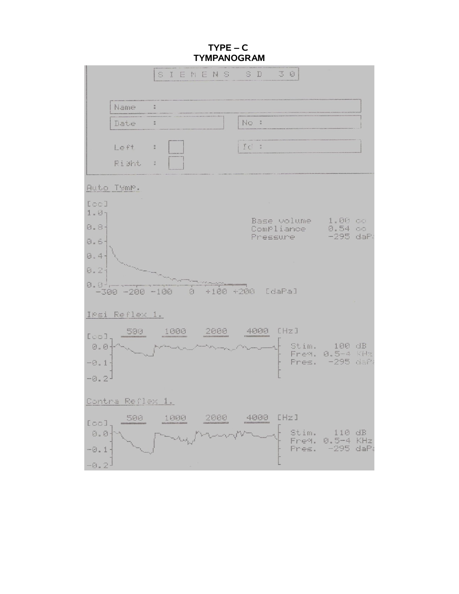**TYPE – C TYMPANOGRAM**

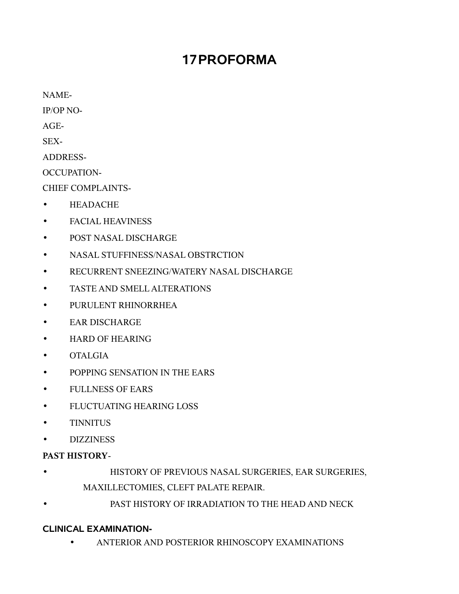## **17PROFORMA**

NAME-

IP/OP NO-

 $AGE-$ 

SEX-

ADDRESS-

OCCUPATION-

CHIEF COMPLAINTS-

- HEADACHE
- FACIAL HEAVINESS
- POST NASAL DISCHARGE
- NASAL STUFFINESS/NASAL OBSTRCTION
- RECURRENT SNEEZING/WATERY NASAL DISCHARGE
- TASTE AND SMELL ALTERATIONS
- PURULENT RHINORRHEA
- EAR DISCHARGE
- HARD OF HEARING
- OTALGIA
- POPPING SENSATION IN THE EARS
- FULLNESS OF EARS
- FLUCTUATING HEARING LOSS
- TINNITUS
- DIZZINESS

### **PAST HISTORY**-

- HISTORY OF PREVIOUS NASAL SURGERIES, EAR SURGERIES, MAXILLECTOMIES, CLEFT PALATE REPAIR.
- PAST HISTORY OF IRRADIATION TO THE HEAD AND NECK

### **CLINICAL EXAMINATION-**

• ANTERIOR AND POSTERIOR RHINOSCOPY EXAMINATIONS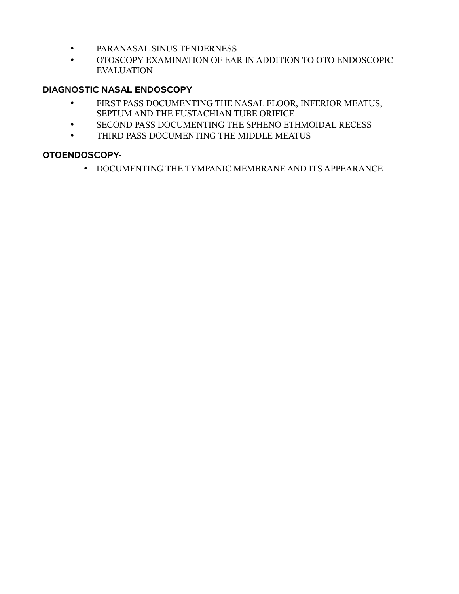- PARANASAL SINUS TENDERNESS
- OTOSCOPY EXAMINATION OF EAR IN ADDITION TO OTO ENDOSCOPIC EVALUATION

### **DIAGNOSTIC NASAL ENDOSCOPY**

- FIRST PASS DOCUMENTING THE NASAL FLOOR, INFERIOR MEATUS, SEPTUM AND THE EUSTACHIAN TUBE ORIFICE
- SECOND PASS DOCUMENTING THE SPHENO ETHMOIDAL RECESS
- THIRD PASS DOCUMENTING THE MIDDLE MEATUS

### **OTOENDOSCOPY-**

• DOCUMENTING THE TYMPANIC MEMBRANE AND ITS APPEARANCE